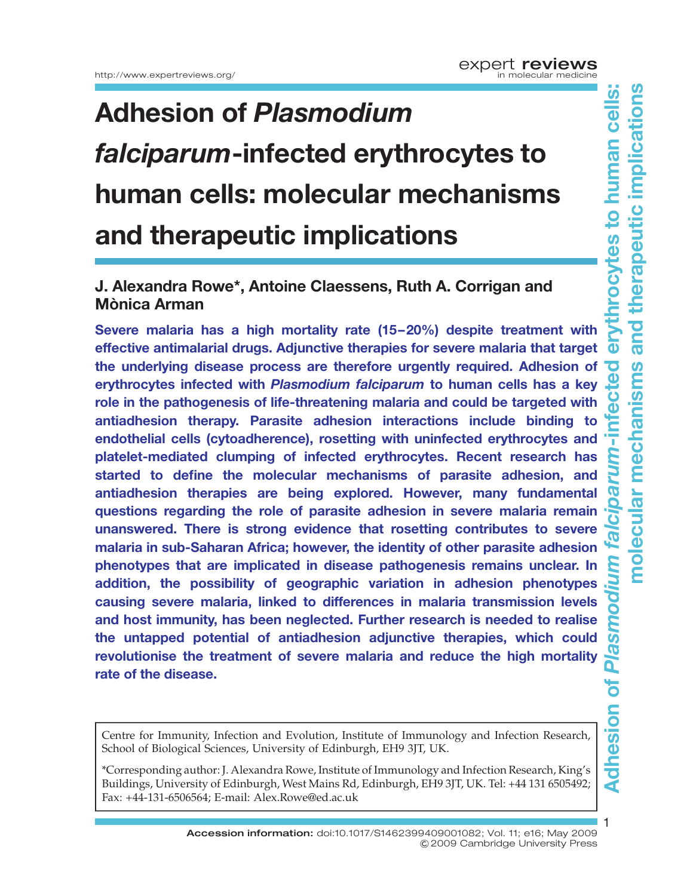## Adhesion of Plasmodium falciparum-infected erythrocytes to human cells: molecular mechanisms and therapeutic implications

### J. Alexandra Rowe\*, Antoine Claessens, Ruth A. Corrigan and Mònica Arman

Severe malaria has a high mortality rate (15–20%) despite treatment with effective antimalarial drugs. Adjunctive therapies for severe malaria that target the underlying disease process are therefore urgently required. Adhesion of erythrocytes infected with Plasmodium falciparum to human cells has a key role in the pathogenesis of life-threatening malaria and could be targeted with antiadhesion therapy. Parasite adhesion interactions include binding to endothelial cells (cytoadherence), rosetting with uninfected erythrocytes and platelet-mediated clumping of infected erythrocytes. Recent research has started to define the molecular mechanisms of parasite adhesion, and antiadhesion therapies are being explored. However, many fundamental questions regarding the role of parasite adhesion in severe malaria remain unanswered. There is strong evidence that rosetting contributes to severe malaria in sub-Saharan Africa; however, the identity of other parasite adhesion phenotypes that are implicated in disease pathogenesis remains unclear. In addition, the possibility of geographic variation in adhesion phenotypes causing severe malaria, linked to differences in malaria transmission levels and host immunity, has been neglected. Further research is needed to realise the untapped potential of antiadhesion adjunctive therapies, which could revolutionise the treatment of severe malaria and reduce the high mortality rate of the disease.

Centre for Immunity, Infection and Evolution, Institute of Immunology and Infection Research, School of Biological Sciences, University of Edinburgh, EH9 3JT, UK.

\*Corresponding author: J. Alexandra Rowe, Institute of Immunology and Infection Research, King's Buildings, University of Edinburgh, West Mains Rd, Edinburgh, EH9 3JT, UK. Tel: +44 131 6505492; Fax: +44-131-6506564; E-mail: Alex.Rowe@ed.ac.uk

> Accession information: doi:10.1017/S1462399409001082; Vol. 11; e16; May 2009 &2009 Cambridge University Press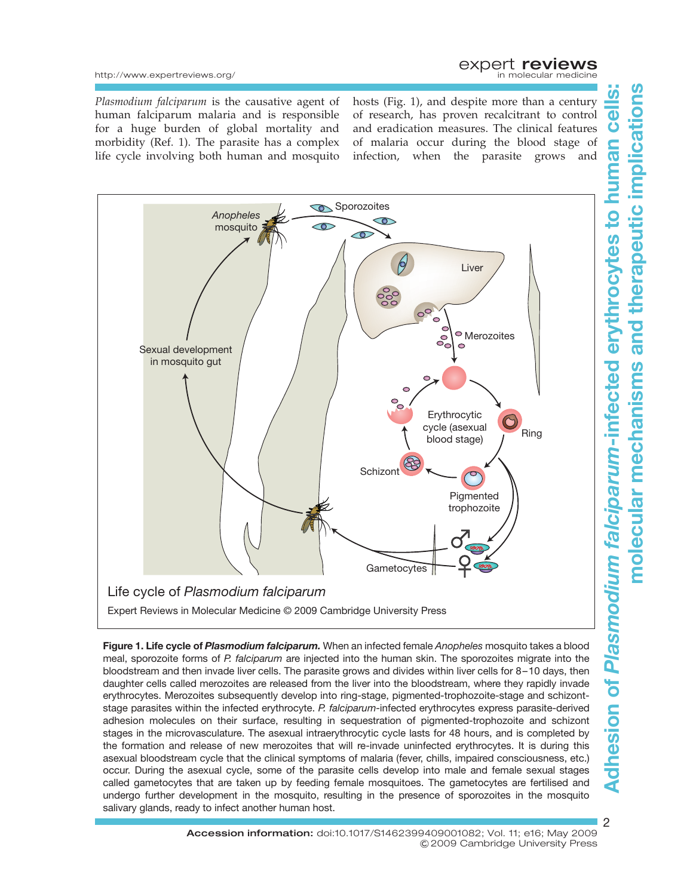## expert reviews

http://www.expertreviews.org/

Plasmodium falciparum is the causative agent of human falciparum malaria and is responsible for a huge burden of global mortality and morbidity (Ref. 1). The parasite has a complex life cycle involving both human and mosquito hosts (Fig. 1), and despite more than a century of research, has proven recalcitrant to control and eradication measures. The clinical features of malaria occur during the blood stage of infection, when the parasite grows and



Figure 1. Life cycle of Plasmodium falciparum. When an infected female Anopheles mosquito takes a blood meal, sporozoite forms of P. falciparum are injected into the human skin. The sporozoites migrate into the bloodstream and then invade liver cells. The parasite grows and divides within liver cells for 8–10 days, then daughter cells called merozoites are released from the liver into the bloodstream, where they rapidly invade erythrocytes. Merozoites subsequently develop into ring-stage, pigmented-trophozoite-stage and schizontstage parasites within the infected erythrocyte. P. falciparum-infected erythrocytes express parasite-derived adhesion molecules on their surface, resulting in sequestration of pigmented-trophozoite and schizont stages in the microvasculature. The asexual intraerythrocytic cycle lasts for 48 hours, and is completed by the formation and release of new merozoites that will re-invade uninfected erythrocytes. It is during this asexual bloodstream cycle that the clinical symptoms of malaria (fever, chills, impaired consciousness, etc.) occur. During the asexual cycle, some of the parasite cells develop into male and female sexual stages called gametocytes that are taken up by feeding female mosquitoes. The gametocytes are fertilised and undergo further development in the mosquito, resulting in the presence of sporozoites in the mosquito salivary glands, ready to infect another human host.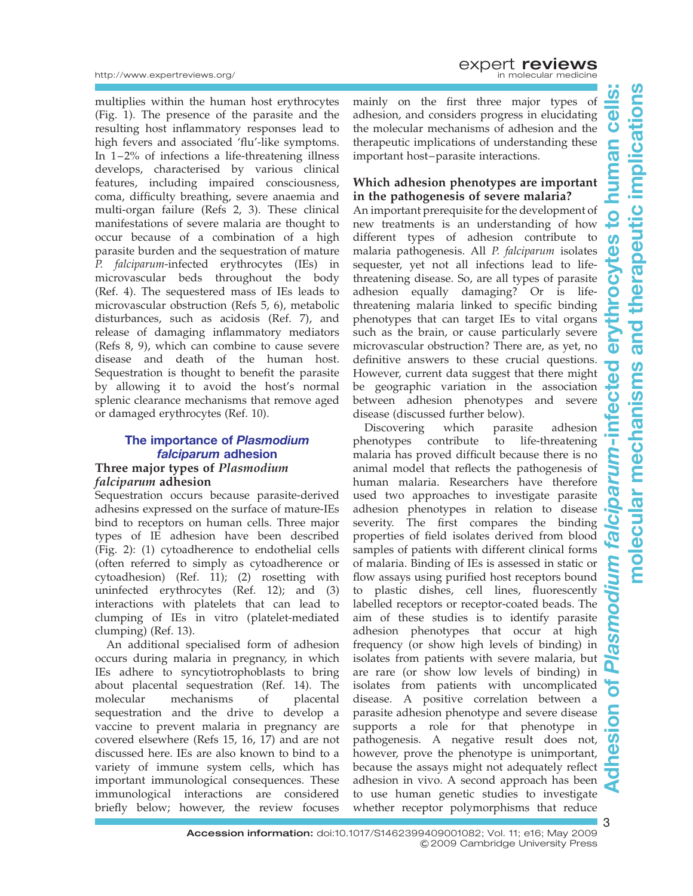multiplies within the human host erythrocytes (Fig. 1). The presence of the parasite and the resulting host inflammatory responses lead to high fevers and associated 'flu'-like symptoms. In 1–2% of infections a life-threatening illness develops, characterised by various clinical features, including impaired consciousness, coma, difficulty breathing, severe anaemia and multi-organ failure (Refs 2, 3). These clinical manifestations of severe malaria are thought to occur because of a combination of a high parasite burden and the sequestration of mature P. falciparum-infected erythrocytes (IEs) in microvascular beds throughout the body (Ref. 4). The sequestered mass of IEs leads to microvascular obstruction (Refs 5, 6), metabolic disturbances, such as acidosis (Ref. 7), and release of damaging inflammatory mediators (Refs 8, 9), which can combine to cause severe disease and death of the human host. Sequestration is thought to benefit the parasite by allowing it to avoid the host's normal splenic clearance mechanisms that remove aged or damaged erythrocytes (Ref. 10).

#### The importance of Plasmodium falciparum adhesion Three major types of Plasmodium falciparum adhesion

Sequestration occurs because parasite-derived adhesins expressed on the surface of mature-IEs bind to receptors on human cells. Three major types of IE adhesion have been described (Fig. 2): (1) cytoadherence to endothelial cells (often referred to simply as cytoadherence or cytoadhesion) (Ref. 11); (2) rosetting with uninfected erythrocytes (Ref. 12); and (3) interactions with platelets that can lead to clumping of IEs in vitro (platelet-mediated clumping) (Ref. 13).

An additional specialised form of adhesion occurs during malaria in pregnancy, in which IEs adhere to syncytiotrophoblasts to bring about placental sequestration (Ref. 14). The molecular mechanisms of placental sequestration and the drive to develop a vaccine to prevent malaria in pregnancy are covered elsewhere (Refs 15, 16, 17) and are not discussed here. IEs are also known to bind to a variety of immune system cells, which has important immunological consequences. These immunological interactions are considered briefly below; however, the review focuses

mainly on the first three major types of adhesion, and considers progress in elucidating the molecular mechanisms of adhesion and the therapeutic implications of understanding these important host–parasite interactions.

#### Which adhesion phenotypes are important in the pathogenesis of severe malaria?

An important prerequisite for the development of new treatments is an understanding of how different types of adhesion contribute to malaria pathogenesis. All P. falciparum isolates sequester, yet not all infections lead to lifethreatening disease. So, are all types of parasite adhesion equally damaging? Or is lifethreatening malaria linked to specific binding phenotypes that can target IEs to vital organs such as the brain, or cause particularly severe microvascular obstruction? There are, as yet, no definitive answers to these crucial questions. However, current data suggest that there might be geographic variation in the association between adhesion phenotypes and severe disease (discussed further below).

Discovering which parasite adhesion phenotypes contribute to life-threatening malaria has proved difficult because there is no animal model that reflects the pathogenesis of human malaria. Researchers have therefore used two approaches to investigate parasite adhesion phenotypes in relation to disease severity. The first compares the binding properties of field isolates derived from blood samples of patients with different clinical forms of malaria. Binding of IEs is assessed in static or flow assays using purified host receptors bound to plastic dishes, cell lines, fluorescently labelled receptors or receptor-coated beads. The aim of these studies is to identify parasite adhesion phenotypes that occur at high frequency (or show high levels of binding) in isolates from patients with severe malaria, but are rare (or show low levels of binding) in isolates from patients with uncomplicated disease. A positive correlation between a parasite adhesion phenotype and severe disease supports a role for that phenotype in pathogenesis. A negative result does not, however, prove the phenotype is unimportant, because the assays might not adequately reflect adhesion in vivo. A second approach has been to use human genetic studies to investigate whether receptor polymorphisms that reduce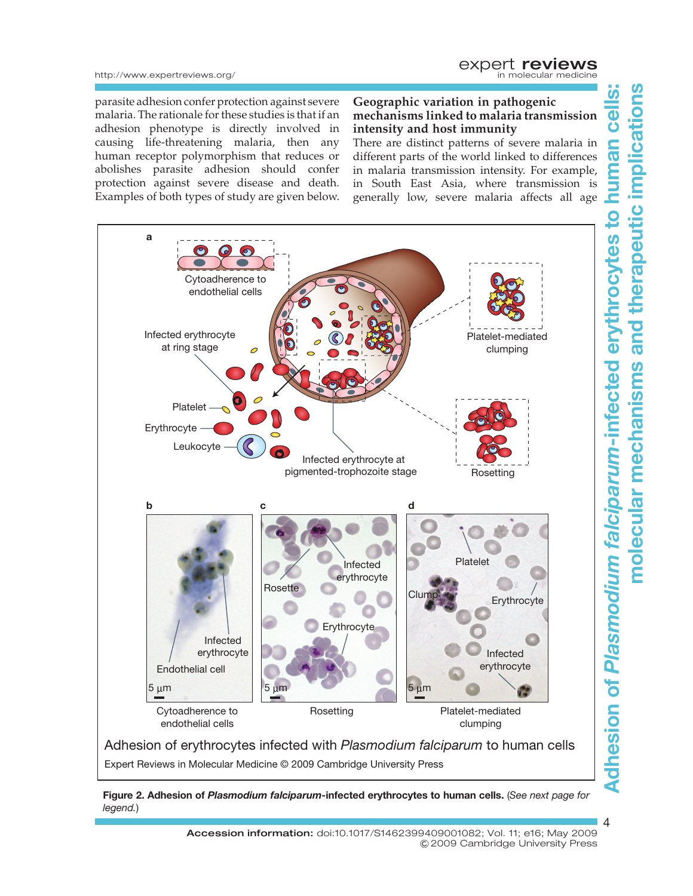http://www.expertreviews.org/

parasite adhesion confer protection against severe malaria. The rationale for these studies is that if an adhesion phenotype is directly involved in causing life-threatening malaria, then any human receptor polymorphism that reduces or abolishes parasite adhesion should confer protection against severe disease and death. Examples of both types of study are given below. Geographic variation in pathogenic mechanisms linked to malaria transmission intensity and host immunity

There are distinct patterns of severe malaria in different parts of the world linked to differences in malaria transmission intensity. For example, in South East Asia, where transmission is generally low, severe malaria affects all age



Figure 2. Adhesion of Plasmodium falciparum-infected erythrocytes to human cells. (See next page for legend.)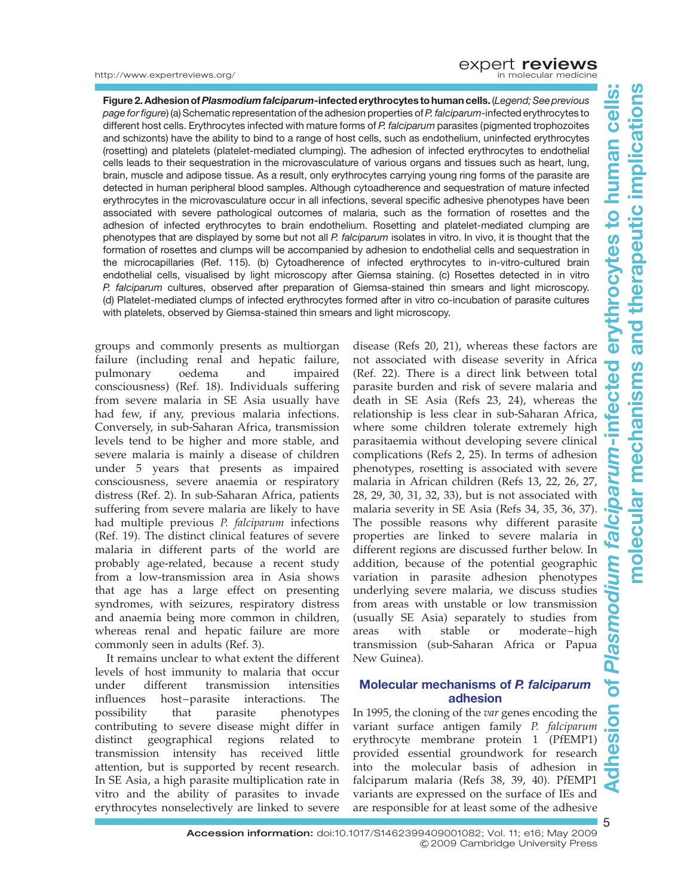#### http://www.expertreviews.org/

Figure 2. Adhesion of Plasmodium falciparum-infected erythrocytes to human cells. (Legend; See previous page for figure) (a) Schematic representation of the adhesion properties of P. falciparum-infected erythrocytes to different host cells. Erythrocytes infected with mature forms of P. falciparum parasites (pigmented trophozoites and schizonts) have the ability to bind to a range of host cells, such as endothelium, uninfected erythrocytes (rosetting) and platelets (platelet-mediated clumping). The adhesion of infected erythrocytes to endothelial cells leads to their sequestration in the microvasculature of various organs and tissues such as heart, lung, brain, muscle and adipose tissue. As a result, only erythrocytes carrying young ring forms of the parasite are detected in human peripheral blood samples. Although cytoadherence and sequestration of mature infected erythrocytes in the microvasculature occur in all infections, several specific adhesive phenotypes have been associated with severe pathological outcomes of malaria, such as the formation of rosettes and the adhesion of infected erythrocytes to brain endothelium. Rosetting and platelet-mediated clumping are phenotypes that are displayed by some but not all P. falciparum isolates in vitro. In vivo, it is thought that the formation of rosettes and clumps will be accompanied by adhesion to endothelial cells and sequestration in the microcapillaries (Ref. 115). (b) Cytoadherence of infected erythrocytes to in-vitro-cultured brain endothelial cells, visualised by light microscopy after Giemsa staining. (c) Rosettes detected in in vitro P. falciparum cultures, observed after preparation of Giemsa-stained thin smears and light microscopy. (d) Platelet-mediated clumps of infected erythrocytes formed after in vitro co-incubation of parasite cultures with platelets, observed by Giemsa-stained thin smears and light microscopy.

groups and commonly presents as multiorgan failure (including renal and hepatic failure, pulmonary oedema and impaired consciousness) (Ref. 18). Individuals suffering from severe malaria in SE Asia usually have had few, if any, previous malaria infections. Conversely, in sub-Saharan Africa, transmission levels tend to be higher and more stable, and severe malaria is mainly a disease of children under 5 years that presents as impaired consciousness, severe anaemia or respiratory distress (Ref. 2). In sub-Saharan Africa, patients suffering from severe malaria are likely to have had multiple previous P. falciparum infections (Ref. 19). The distinct clinical features of severe malaria in different parts of the world are probably age-related, because a recent study from a low-transmission area in Asia shows that age has a large effect on presenting syndromes, with seizures, respiratory distress and anaemia being more common in children, whereas renal and hepatic failure are more commonly seen in adults (Ref. 3).

It remains unclear to what extent the different levels of host immunity to malaria that occur under different transmission intensities influences host–parasite interactions. The possibility that parasite phenotypes contributing to severe disease might differ in distinct geographical regions related to transmission intensity has received little attention, but is supported by recent research. In SE Asia, a high parasite multiplication rate in vitro and the ability of parasites to invade erythrocytes nonselectively are linked to severe

disease (Refs 20, 21), whereas these factors are not associated with disease severity in Africa (Ref. 22). There is a direct link between total parasite burden and risk of severe malaria and death in SE Asia (Refs 23, 24), whereas the relationship is less clear in sub-Saharan Africa, where some children tolerate extremely high parasitaemia without developing severe clinical complications (Refs 2, 25). In terms of adhesion phenotypes, rosetting is associated with severe malaria in African children (Refs 13, 22, 26, 27, 28, 29, 30, 31, 32, 33), but is not associated with malaria severity in SE Asia (Refs 34, 35, 36, 37). The possible reasons why different parasite properties are linked to severe malaria in different regions are discussed further below. In addition, because of the potential geographic variation in parasite adhesion phenotypes underlying severe malaria, we discuss studies from areas with unstable or low transmission (usually SE Asia) separately to studies from areas with stable or moderate–high transmission (sub-Saharan Africa or Papua New Guinea).

#### Molecular mechanisms of P. falciparum adhesion

In 1995, the cloning of the var genes encoding the variant surface antigen family P. falciparum erythrocyte membrane protein 1 (PfEMP1) provided essential groundwork for research into the molecular basis of adhesion in falciparum malaria (Refs 38, 39, 40). PfEMP1 variants are expressed on the surface of IEs and are responsible for at least some of the adhesive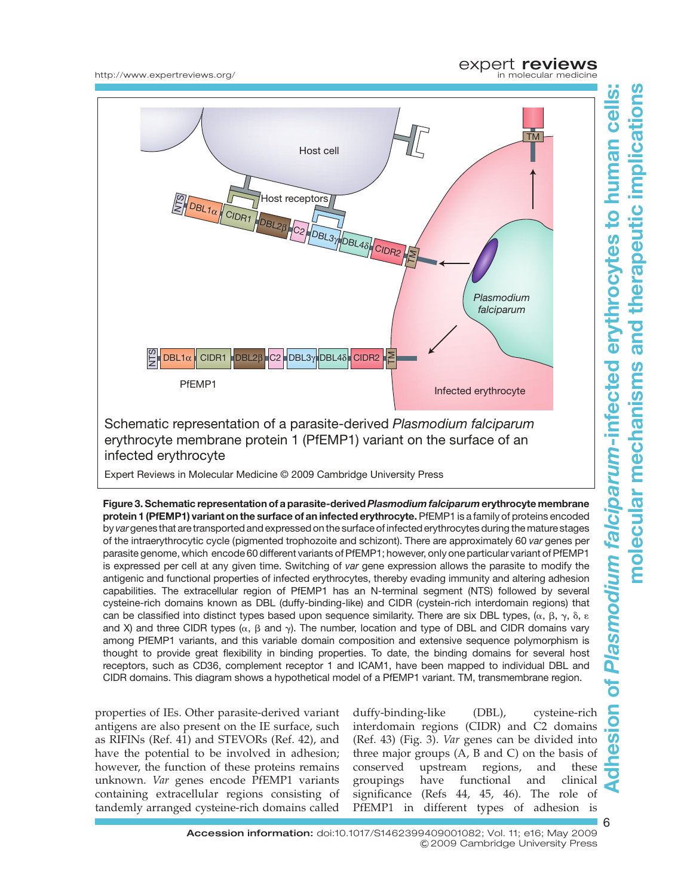

## expert **reviews**<br>in molecular medicine





infected erythrocyte

Expert Reviews in Molecular Medicine © 2009 Cambridge University Press

Figure 3. Schematic representation of a parasite-derived Plasmodium falciparum erythrocyte membrane protein 1 (PfEMP1) variant on the surface of an infected erythrocyte. PfEMP1 is a family of proteins encoded by vargenes that are transported and expressed on the surface of infected erythrocytes during the mature stages of the intraerythrocytic cycle (pigmented trophozoite and schizont). There are approximately 60 var genes per parasite genome, which encode 60 different variants of PfEMP1; however, only one particular variant of PfEMP1 is expressed per cell at any given time. Switching of var gene expression allows the parasite to modify the antigenic and functional properties of infected erythrocytes, thereby evading immunity and altering adhesion capabilities. The extracellular region of PfEMP1 has an N-terminal segment (NTS) followed by several cysteine-rich domains known as DBL (duffy-binding-like) and CIDR (cystein-rich interdomain regions) that can be classified into distinct types based upon sequence similarity. There are six DBL types,  $(\alpha, \beta, \gamma, \delta, \varepsilon)$ and X) and three CIDR types ( $\alpha$ ,  $\beta$  and  $\gamma$ ). The number, location and type of DBL and CIDR domains vary among PfEMP1 variants, and this variable domain composition and extensive sequence polymorphism is thought to provide great flexibility in binding properties. To date, the binding domains for several host receptors, such as CD36, complement receptor 1 and ICAM1, have been mapped to individual DBL and CIDR domains. This diagram shows a hypothetical model of a PfEMP1 variant. TM, transmembrane region.

properties of IEs. Other parasite-derived variant antigens are also present on the IE surface, such as RIFINs (Ref. 41) and STEVORs (Ref. 42), and have the potential to be involved in adhesion; however, the function of these proteins remains unknown. Var genes encode PfEMP1 variants containing extracellular regions consisting of tandemly arranged cysteine-rich domains called

duffy-binding-like (DBL), cysteine-rich interdomain regions (CIDR) and C2 domains (Ref. 43) (Fig. 3). Var genes can be divided into three major groups (A, B and C) on the basis of conserved upstream regions, and these groupings have functional and clinical significance (Refs 44, 45, 46). The role of PfEMP1 in different types of adhesion is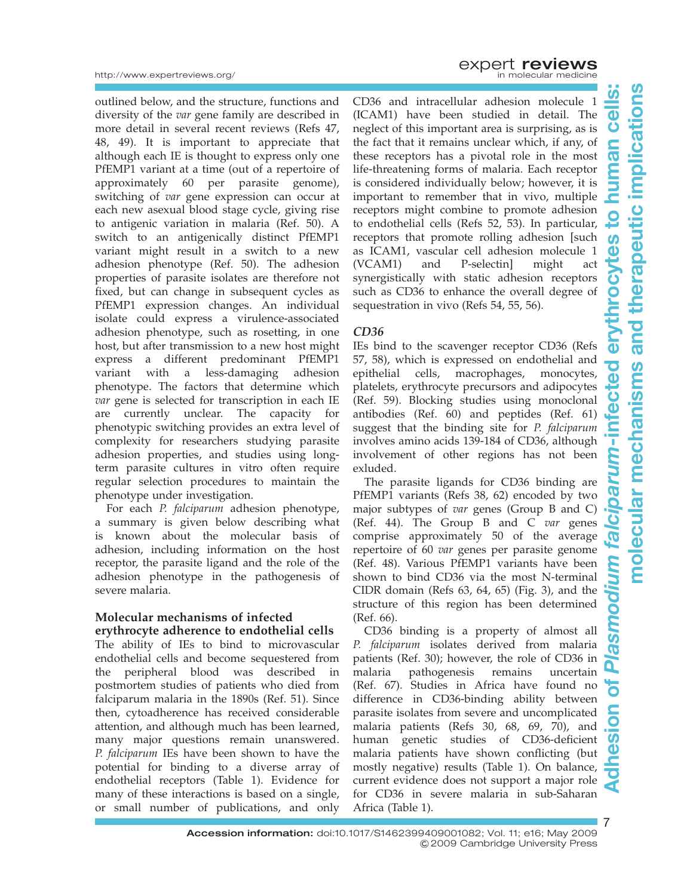7

outlined below, and the structure, functions and diversity of the var gene family are described in more detail in several recent reviews (Refs 47, 48, 49). It is important to appreciate that although each IE is thought to express only one PfEMP1 variant at a time (out of a repertoire of approximately 60 per parasite genome), switching of var gene expression can occur at each new asexual blood stage cycle, giving rise to antigenic variation in malaria (Ref. 50). A switch to an antigenically distinct PfEMP1 variant might result in a switch to a new adhesion phenotype (Ref. 50). The adhesion properties of parasite isolates are therefore not fixed, but can change in subsequent cycles as PfEMP1 expression changes. An individual isolate could express a virulence-associated adhesion phenotype, such as rosetting, in one host, but after transmission to a new host might express a different predominant PfEMP1 variant with a less-damaging adhesion phenotype. The factors that determine which var gene is selected for transcription in each IE are currently unclear. The capacity for phenotypic switching provides an extra level of complexity for researchers studying parasite adhesion properties, and studies using longterm parasite cultures in vitro often require regular selection procedures to maintain the phenotype under investigation.

For each P. falciparum adhesion phenotype, a summary is given below describing what is known about the molecular basis of adhesion, including information on the host receptor, the parasite ligand and the role of the adhesion phenotype in the pathogenesis of severe malaria.

#### Molecular mechanisms of infected erythrocyte adherence to endothelial cells

The ability of IEs to bind to microvascular endothelial cells and become sequestered from the peripheral blood was described postmortem studies of patients who died from falciparum malaria in the 1890s (Ref. 51). Since then, cytoadherence has received considerable attention, and although much has been learned, many major questions remain unanswered. P. falciparum IEs have been shown to have the potential for binding to a diverse array of endothelial receptors (Table 1). Evidence for many of these interactions is based on a single, or small number of publications, and only

**EXPETT reviews** 

CD36 and intracellular adhesion molecule 1 (ICAM1) have been studied in detail. The neglect of this important area is surprising, as is the fact that it remains unclear which, if any, of these receptors has a pivotal role in the most life-threatening forms of malaria. Each receptor is considered individually below; however, it is important to remember that in vivo, multiple receptors might combine to promote adhesion to endothelial cells (Refs 52, 53). In particular, receptors that promote rolling adhesion [such as ICAM1, vascular cell adhesion molecule 1 (VCAM1) and P-selectin] might act synergistically with static adhesion receptors such as CD36 to enhance the overall degree of sequestration in vivo (Refs 54, 55, 56).

#### CD36

IEs bind to the scavenger receptor CD36 (Refs 57, 58), which is expressed on endothelial and epithelial cells, macrophages, monocytes, platelets, erythrocyte precursors and adipocytes (Ref. 59). Blocking studies using monoclonal antibodies (Ref. 60) and peptides (Ref. 61) suggest that the binding site for P. falciparum involves amino acids 139-184 of CD36, although involvement of other regions has not been exluded.

The parasite ligands for CD36 binding are PfEMP1 variants (Refs 38, 62) encoded by two major subtypes of var genes (Group B and C) (Ref. 44). The Group B and C var genes comprise approximately 50 of the average repertoire of 60 var genes per parasite genome (Ref. 48). Various PfEMP1 variants have been shown to bind CD36 via the most N-terminal CIDR domain (Refs 63, 64, 65) (Fig. 3), and the structure of this region has been determined (Ref. 66).

CD36 binding is a property of almost all **ISB** P. falciparum isolates derived from malaria patients (Ref. 30); however, the role of CD36 in malaria pathogenesis remains uncertain (Ref. 67). Studies in Africa have found no difference in CD36-binding ability between parasite isolates from severe and uncomplicated malaria patients (Refs 30, 68, 69, 70), and human genetic studies of CD36-deficient malaria patients have shown conflicting (but mostly negative) results (Table 1). On balance, current evidence does not support a major role for CD36 in severe malaria in sub-Saharan Africa (Table 1).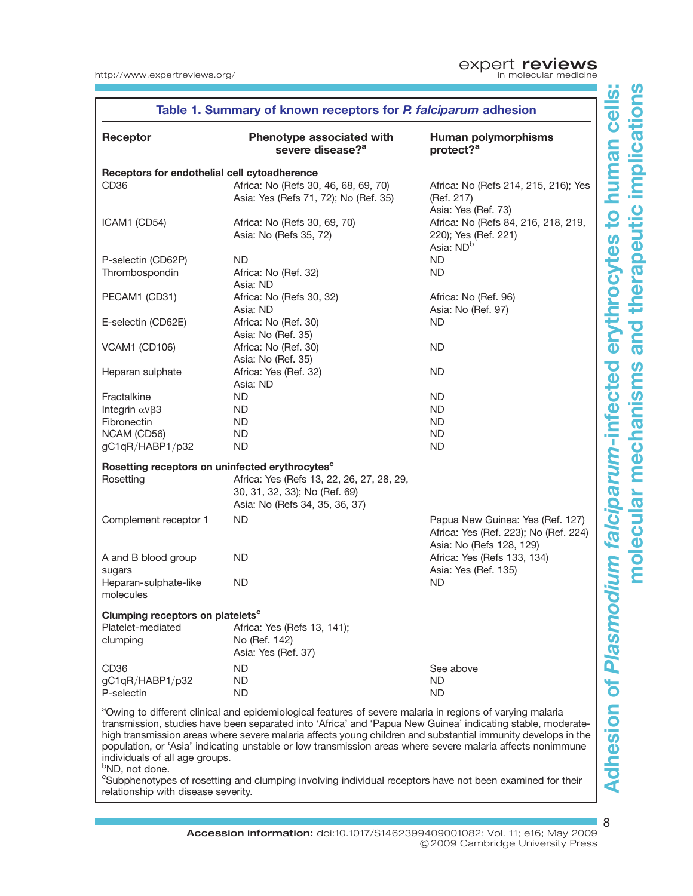| Table 1. Summary of known receptors for P. falciparum adhesion |                                                                                                                                                                                                                                      |                                                                                                       |  |  |
|----------------------------------------------------------------|--------------------------------------------------------------------------------------------------------------------------------------------------------------------------------------------------------------------------------------|-------------------------------------------------------------------------------------------------------|--|--|
| Receptor                                                       | Phenotype associated with<br>severe disease? <sup>a</sup>                                                                                                                                                                            | <b>Human polymorphisms</b><br>protect? <sup>a</sup>                                                   |  |  |
| Receptors for endothelial cell cytoadherence                   |                                                                                                                                                                                                                                      |                                                                                                       |  |  |
| CD <sub>36</sub>                                               | Africa: No (Refs 30, 46, 68, 69, 70)<br>Asia: Yes (Refs 71, 72); No (Ref. 35)                                                                                                                                                        | Africa: No (Refs 214, 215, 216); Yes<br>(Ref. 217)<br>Asia: Yes (Ref. 73)                             |  |  |
| ICAM1 (CD54)                                                   | Africa: No (Refs 30, 69, 70)<br>Asia: No (Refs 35, 72)                                                                                                                                                                               | Africa: No (Refs 84, 216, 218, 219,<br>220); Yes (Ref. 221)<br>Asia: ND <sup>b</sup>                  |  |  |
| P-selectin (CD62P)                                             | ND                                                                                                                                                                                                                                   | <b>ND</b>                                                                                             |  |  |
| Thrombospondin                                                 | Africa: No (Ref. 32)<br>Asia: ND                                                                                                                                                                                                     | ND.                                                                                                   |  |  |
| PECAM1 (CD31)                                                  | Africa: No (Refs 30, 32)                                                                                                                                                                                                             | Africa: No (Ref. 96)                                                                                  |  |  |
|                                                                | Asia: ND                                                                                                                                                                                                                             | Asia: No (Ref. 97)                                                                                    |  |  |
| E-selectin (CD62E)                                             | Africa: No (Ref. 30)<br>Asia: No (Ref. 35)                                                                                                                                                                                           | ND.                                                                                                   |  |  |
| VCAM1 (CD106)                                                  | Africa: No (Ref. 30)<br>Asia: No (Ref. 35)                                                                                                                                                                                           | ND.                                                                                                   |  |  |
| Heparan sulphate                                               | Africa: Yes (Ref. 32)<br>Asia: ND                                                                                                                                                                                                    | ND                                                                                                    |  |  |
| Fractalkine                                                    | ND                                                                                                                                                                                                                                   | ND.                                                                                                   |  |  |
| Integrin $\alpha$ v $\beta$ 3                                  | <b>ND</b>                                                                                                                                                                                                                            | <b>ND</b>                                                                                             |  |  |
| Fibronectin                                                    | ND.                                                                                                                                                                                                                                  | ND.                                                                                                   |  |  |
| NCAM (CD56)                                                    | <b>ND</b>                                                                                                                                                                                                                            | ND.                                                                                                   |  |  |
| gC1qR/HABP1/p32                                                | <b>ND</b>                                                                                                                                                                                                                            | ND                                                                                                    |  |  |
| Rosetting receptors on uninfected erythrocytes <sup>c</sup>    |                                                                                                                                                                                                                                      |                                                                                                       |  |  |
| Rosetting                                                      | Africa: Yes (Refs 13, 22, 26, 27, 28, 29,<br>30, 31, 32, 33); No (Ref. 69)<br>Asia: No (Refs 34, 35, 36, 37)                                                                                                                         |                                                                                                       |  |  |
| Complement receptor 1                                          | <b>ND</b>                                                                                                                                                                                                                            | Papua New Guinea: Yes (Ref. 127)<br>Africa: Yes (Ref. 223); No (Ref. 224)<br>Asia: No (Refs 128, 129) |  |  |
| A and B blood group<br>sugars                                  | ND                                                                                                                                                                                                                                   | Africa: Yes (Refs 133, 134)<br>Asia: Yes (Ref. 135)                                                   |  |  |
| Heparan-sulphate-like<br>molecules                             | <b>ND</b>                                                                                                                                                                                                                            | <b>ND</b>                                                                                             |  |  |
| Clumping receptors on platelets <sup>c</sup>                   |                                                                                                                                                                                                                                      |                                                                                                       |  |  |
| Platelet-mediated<br>clumping                                  | Africa: Yes (Refs 13, 141);<br>No (Ref. 142)<br>Asia: Yes (Ref. 37)                                                                                                                                                                  |                                                                                                       |  |  |
| CD <sub>36</sub>                                               | <b>ND</b>                                                                                                                                                                                                                            | See above                                                                                             |  |  |
| gC1qR/HABP1/p32                                                | <b>ND</b>                                                                                                                                                                                                                            | <b>ND</b>                                                                                             |  |  |
| P-selectin                                                     | <b>ND</b>                                                                                                                                                                                                                            | <b>ND</b>                                                                                             |  |  |
|                                                                | <sup>a</sup> Owing to different clinical and epidemiological features of severe malaria in regions of varying malaria<br>transmission, studies have been separated into 'Africa' and 'Papua New Guinea' indicating stable, moderate- |                                                                                                       |  |  |

transmission, studies have been separated into 'Africa' and 'Papua New Guinea' indicating stable, moderatehigh transmission areas where severe malaria affects young children and substantial immunity develops in the population, or 'Asia' indicating unstable or low transmission areas where severe malaria affects nonimmune individuals of all age groups.

<sup>b</sup>ND, not done.

<sup>c</sup>Subphenotypes of rosetting and clumping involving individual receptors have not been examined for their relationship with disease severity.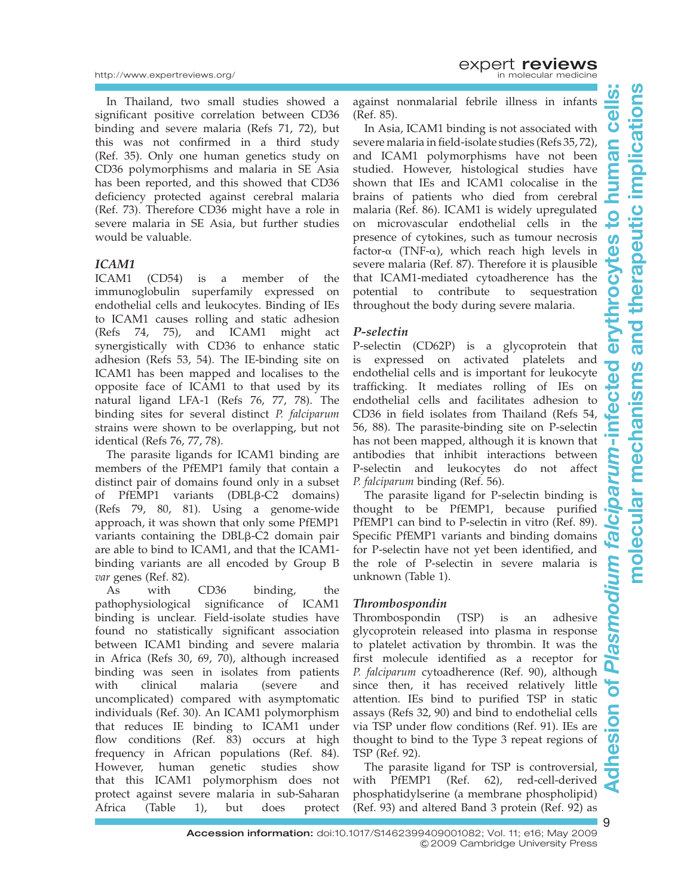In Thailand, two small studies showed a significant positive correlation between CD36 binding and severe malaria (Refs 71, 72), but this was not confirmed in a third study (Ref. 35). Only one human genetics study on CD36 polymorphisms and malaria in SE Asia has been reported, and this showed that CD36 deficiency protected against cerebral malaria (Ref. 73). Therefore CD36 might have a role in severe malaria in SE Asia, but further studies would be valuable.

#### ICAM1

ICAM1 (CD54) is a member of the immunoglobulin superfamily expressed on endothelial cells and leukocytes. Binding of IEs to ICAM1 causes rolling and static adhesion (Refs 74, 75), and ICAM1 might act synergistically with CD36 to enhance static adhesion (Refs 53, 54). The IE-binding site on ICAM1 has been mapped and localises to the opposite face of ICAM1 to that used by its natural ligand LFA-1 (Refs 76, 77, 78). The binding sites for several distinct P. falciparum strains were shown to be overlapping, but not identical (Refs 76, 77, 78).

The parasite ligands for ICAM1 binding are members of the PfEMP1 family that contain a distinct pair of domains found only in a subset of PfEMP1 variants (DBLB-C2 domains) (Refs 79, 80, 81). Using a genome-wide approach, it was shown that only some PfEMP1 variants containing the DBLb-C2 domain pair are able to bind to ICAM1, and that the ICAM1 binding variants are all encoded by Group B var genes (Ref. 82).

As with CD36 binding, the pathophysiological significance of ICAM1 binding is unclear. Field-isolate studies have found no statistically significant association between ICAM1 binding and severe malaria in Africa (Refs 30, 69, 70), although increased binding was seen in isolates from patients with clinical malaria (severe and uncomplicated) compared with asymptomatic individuals (Ref. 30). An ICAM1 polymorphism that reduces IE binding to ICAM1 under flow conditions (Ref. 83) occurs at high frequency in African populations (Ref. 84). However, human genetic studies show that this ICAM1 polymorphism does not protect against severe malaria in sub-Saharan Africa (Table 1), but does protect

against nonmalarial febrile illness in infants (Ref. 85).

In Asia, ICAM1 binding is not associated with severe malaria in field-isolate studies (Refs 35, 72), and ICAM1 polymorphisms have not been studied. However, histological studies have shown that IEs and ICAM1 colocalise in the brains of patients who died from cerebral malaria (Ref. 86). ICAM1 is widely upregulated on microvascular endothelial cells in the presence of cytokines, such as tumour necrosis factor- $\alpha$  (TNF- $\alpha$ ), which reach high levels in severe malaria (Ref. 87). Therefore it is plausible that ICAM1-mediated cytoadherence has the potential to contribute to sequestration throughout the body during severe malaria.

#### P-selectin

P-selectin (CD62P) is a glycoprotein that is expressed on activated platelets and endothelial cells and is important for leukocyte trafficking. It mediates rolling of IEs on endothelial cells and facilitates adhesion to CD36 in field isolates from Thailand (Refs 54, 56, 88). The parasite-binding site on P-selectin has not been mapped, although it is known that antibodies that inhibit interactions between P-selectin and leukocytes do not affect P. falciparum binding (Ref. 56).

The parasite ligand for P-selectin binding is thought to be PfEMP1, because purified PfEMP1 can bind to P-selectin in vitro (Ref. 89). Specific PfEMP1 variants and binding domains for P-selectin have not yet been identified, and the role of P-selectin in severe malaria is unknown (Table 1).

#### Thrombospondin

Thrombospondin (TSP) is an adhesive glycoprotein released into plasma in response to platelet activation by thrombin. It was the first molecule identified as a receptor for P. falciparum cytoadherence (Ref. 90), although since then, it has received relatively little attention. IEs bind to purified TSP in static assays (Refs 32, 90) and bind to endothelial cells via TSP under flow conditions (Ref. 91). IEs are thought to bind to the Type 3 repeat regions of TSP (Ref. 92).

The parasite ligand for TSP is controversial, with PfEMP1 (Ref. 62), red-cell-derived phosphatidylserine (a membrane phospholipid) (Ref. 93) and altered Band 3 protein (Ref. 92) as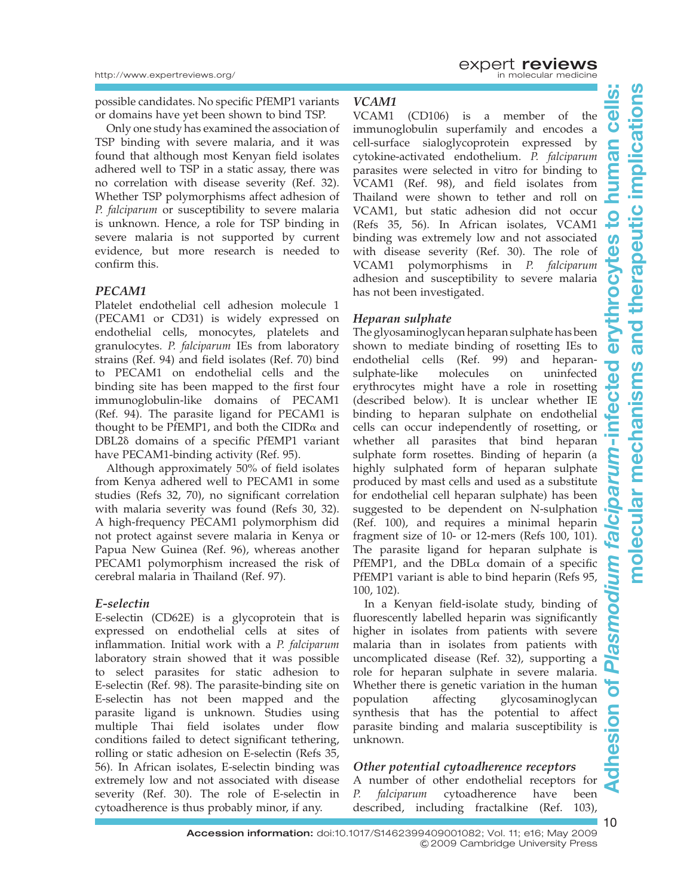possible candidates. No specific PfEMP1 variants or domains have yet been shown to bind TSP.

Only one study has examined the association of TSP binding with severe malaria, and it was found that although most Kenyan field isolates adhered well to TSP in a static assay, there was no correlation with disease severity (Ref. 32). Whether TSP polymorphisms affect adhesion of P. falciparum or susceptibility to severe malaria is unknown. Hence, a role for TSP binding in severe malaria is not supported by current evidence, but more research is needed to confirm this.

#### PECAM1

Platelet endothelial cell adhesion molecule 1 (PECAM1 or CD31) is widely expressed on endothelial cells, monocytes, platelets and granulocytes. P. falciparum IEs from laboratory strains (Ref. 94) and field isolates (Ref. 70) bind to PECAM1 on endothelial cells and the binding site has been mapped to the first four immunoglobulin-like domains of PECAM1 (Ref. 94). The parasite ligand for PECAM1 is thought to be PfEMP1, and both the CIDR $\alpha$  and DBL2 $\delta$  domains of a specific PfEMP1 variant have PECAM1-binding activity (Ref. 95).

Although approximately 50% of field isolates from Kenya adhered well to PECAM1 in some studies (Refs 32, 70), no significant correlation with malaria severity was found (Refs 30, 32). A high-frequency PECAM1 polymorphism did not protect against severe malaria in Kenya or Papua New Guinea (Ref. 96), whereas another PECAM1 polymorphism increased the risk of cerebral malaria in Thailand (Ref. 97).

#### E-selectin

E-selectin (CD62E) is a glycoprotein that is expressed on endothelial cells at sites of inflammation. Initial work with a P. falciparum laboratory strain showed that it was possible to select parasites for static adhesion to E-selectin (Ref. 98). The parasite-binding site on E-selectin has not been mapped and the parasite ligand is unknown. Studies using multiple Thai field isolates under flow conditions failed to detect significant tethering, rolling or static adhesion on E-selectin (Refs 35, 56). In African isolates, E-selectin binding was extremely low and not associated with disease severity (Ref. 30). The role of E-selectin in cytoadherence is thus probably minor, if any.

#### VCAM1

VCAM1 (CD106) is a member of the immunoglobulin superfamily and encodes a cell-surface sialoglycoprotein expressed by cytokine-activated endothelium. P. falciparum parasites were selected in vitro for binding to VCAM1 (Ref. 98), and field isolates from Thailand were shown to tether and roll on VCAM1, but static adhesion did not occur (Refs 35, 56). In African isolates, VCAM1 binding was extremely low and not associated with disease severity (Ref. 30). The role of VCAM1 polymorphisms in P. falciparum adhesion and susceptibility to severe malaria has not been investigated.

#### Heparan sulphate

The glyosaminoglycan heparan sulphate has been shown to mediate binding of rosetting IEs to  $\overline{\mathbf{0}}$ endothelial cells (Ref. 99) and heparansulphate-like molecules on uninfected Cte erythrocytes might have a role in rosetting (described below). It is unclear whether IE binding to heparan sulphate on endothelial cells can occur independently of rosetting, or whether all parasites that bind heparan sulphate form rosettes. Binding of heparin (a highly sulphated form of heparan sulphate produced by mast cells and used as a substitute for endothelial cell heparan sulphate) has been suggested to be dependent on N-sulphation (Ref. 100), and requires a minimal heparin fragment size of 10- or 12-mers (Refs 100, 101). The parasite ligand for heparan sulphate is PfEMP1, and the  $DBL\alpha$  domain of a specific PfEMP1 variant is able to bind heparin (Refs 95, 100, 102).

In a Kenyan field-isolate study, binding of fluorescently labelled heparin was significantly higher in isolates from patients with severe **ISE** malaria than in isolates from patients with uncomplicated disease (Ref. 32), supporting a role for heparan sulphate in severe malaria. Whether there is genetic variation in the human population affecting glycosaminoglycan synthesis that has the potential to affect eslo parasite binding and malaria susceptibility is unknown.

#### Other potential cytoadherence receptors

A number of other endothelial receptors for P. falciparum cytoadherence have been described, including fractalkine (Ref. 103),

nan cell

tes

Ō

 $\frac{1}{1}$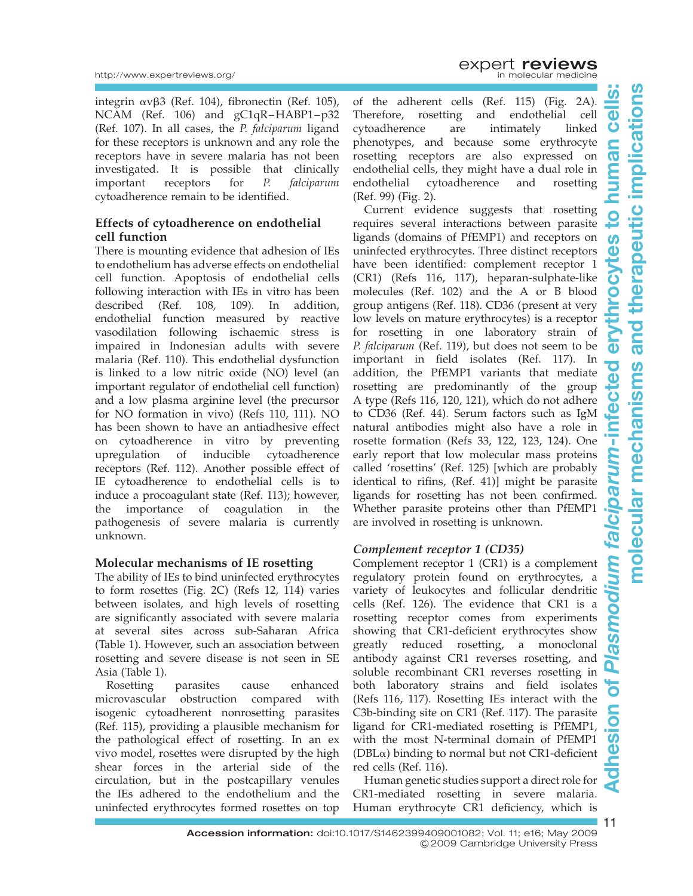integrin  $\alpha v\beta$ 3 (Ref. 104), fibronectin (Ref. 105), NCAM (Ref. 106) and gC1qR–HABP1–p32 (Ref. 107). In all cases, the P. falciparum ligand for these receptors is unknown and any role the receptors have in severe malaria has not been investigated. It is possible that clinically important receptors for P. falciparum cytoadherence remain to be identified.

#### Effects of cytoadherence on endothelial cell function

There is mounting evidence that adhesion of IEs to endothelium has adverse effects on endothelial cell function. Apoptosis of endothelial cells following interaction with IEs in vitro has been described (Ref. 108, 109). In addition, endothelial function measured by reactive vasodilation following ischaemic stress is impaired in Indonesian adults with severe malaria (Ref. 110). This endothelial dysfunction is linked to a low nitric oxide (NO) level (an important regulator of endothelial cell function) and a low plasma arginine level (the precursor for NO formation in vivo) (Refs 110, 111). NO has been shown to have an antiadhesive effect on cytoadherence in vitro by preventing upregulation of inducible cytoadherence receptors (Ref. 112). Another possible effect of IE cytoadherence to endothelial cells is to induce a procoagulant state (Ref. 113); however, the importance of coagulation in the pathogenesis of severe malaria is currently unknown.

#### Molecular mechanisms of IE rosetting

The ability of IEs to bind uninfected erythrocytes to form rosettes (Fig. 2C) (Refs 12, 114) varies between isolates, and high levels of rosetting are significantly associated with severe malaria at several sites across sub-Saharan Africa (Table 1). However, such an association between rosetting and severe disease is not seen in SE Asia (Table 1).

Rosetting parasites cause enhanced microvascular obstruction compared with isogenic cytoadherent nonrosetting parasites (Ref. 115), providing a plausible mechanism for the pathological effect of rosetting. In an ex vivo model, rosettes were disrupted by the high shear forces in the arterial side of the circulation, but in the postcapillary venules the IEs adhered to the endothelium and the uninfected erythrocytes formed rosettes on top

of the adherent cells (Ref. 115) (Fig. 2A). Therefore, rosetting and endothelial cell cytoadherence are intimately linked phenotypes, and because some erythrocyte rosetting receptors are also expressed on endothelial cells, they might have a dual role in endothelial cytoadherence and rosetting (Ref. 99) (Fig. 2).

Current evidence suggests that rosetting requires several interactions between parasite ligands (domains of PfEMP1) and receptors on uninfected erythrocytes. Three distinct receptors have been identified: complement receptor 1 (CR1) (Refs 116, 117), heparan-sulphate-like molecules (Ref. 102) and the A or B blood group antigens (Ref. 118). CD36 (present at very low levels on mature erythrocytes) is a receptor for rosetting in one laboratory strain of P. falciparum (Ref. 119), but does not seem to be important in field isolates (Ref. 117). In addition, the PfEMP1 variants that mediate rosetting are predominantly of the group A type (Refs 116, 120, 121), which do not adhere to CD36 (Ref. 44). Serum factors such as IgM natural antibodies might also have a role in rosette formation (Refs 33, 122, 123, 124). One early report that low molecular mass proteins called 'rosettins' (Ref. 125) [which are probably identical to rifins, (Ref. 41)] might be parasite ligands for rosetting has not been confirmed. Whether parasite proteins other than PfEMP1 are involved in rosetting is unknown.

#### Complement receptor 1 (CD35)

Complement receptor 1 (CR1) is a complement regulatory protein found on erythrocytes, a variety of leukocytes and follicular dendritic cells (Ref. 126). The evidence that CR1 is a rosetting receptor comes from experiments showing that CR1-deficient erythrocytes show greatly reduced rosetting, a monoclonal antibody against CR1 reverses rosetting, and soluble recombinant CR1 reverses rosetting in both laboratory strains and field isolates (Refs 116, 117). Rosetting IEs interact with the C3b-binding site on CR1 (Ref. 117). The parasite ligand for CR1-mediated rosetting is PfEMP1, with the most N-terminal domain of PfEMP1  $(DBL<sub>\alpha</sub>)$  binding to normal but not CR1-deficient red cells (Ref. 116).

Human genetic studies support a direct role for CR1-mediated rosetting in severe malaria. Human erythrocyte CR1 deficiency, which is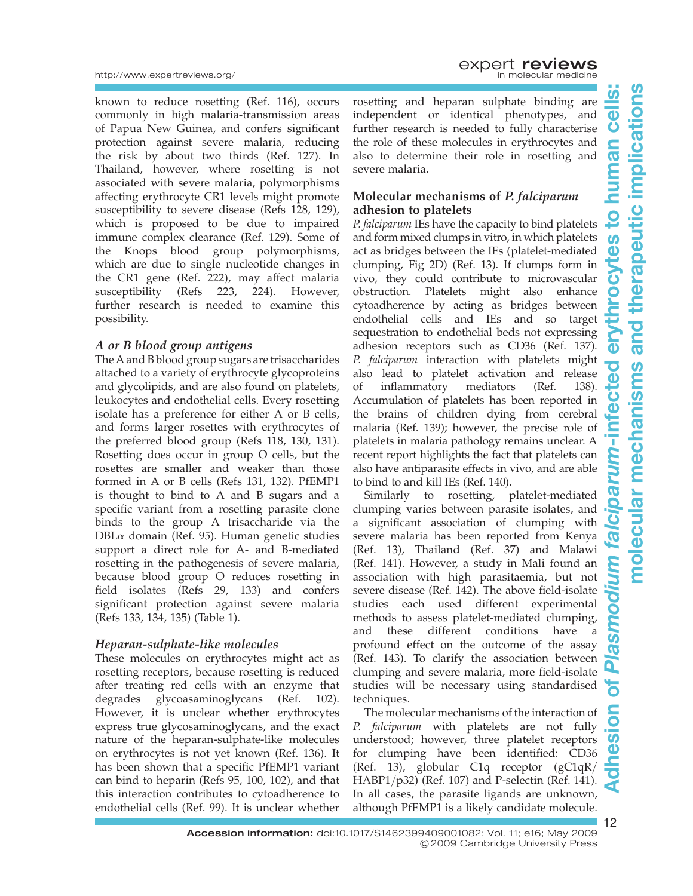#### http://www.expertreviews.org/

known to reduce rosetting (Ref. 116), occurs commonly in high malaria-transmission areas of Papua New Guinea, and confers significant protection against severe malaria, reducing the risk by about two thirds (Ref. 127). In Thailand, however, where rosetting is not associated with severe malaria, polymorphisms affecting erythrocyte CR1 levels might promote susceptibility to severe disease (Refs 128, 129), which is proposed to be due to impaired immune complex clearance (Ref. 129). Some of the Knops blood group polymorphisms, which are due to single nucleotide changes in the CR1 gene (Ref. 222), may affect malaria susceptibility (Refs 223, 224). However, further research is needed to examine this possibility.

#### A or B blood group antigens

The A and B blood group sugars are trisaccharides attached to a variety of erythrocyte glycoproteins and glycolipids, and are also found on platelets, leukocytes and endothelial cells. Every rosetting isolate has a preference for either A or B cells, and forms larger rosettes with erythrocytes of the preferred blood group (Refs 118, 130, 131). Rosetting does occur in group O cells, but the rosettes are smaller and weaker than those formed in A or B cells (Refs 131, 132). PfEMP1 is thought to bind to A and B sugars and a specific variant from a rosetting parasite clone binds to the group A trisaccharide via the  $DBL\alpha$  domain (Ref. 95). Human genetic studies support a direct role for A- and B-mediated rosetting in the pathogenesis of severe malaria, because blood group O reduces rosetting in field isolates (Refs 29, 133) and confers significant protection against severe malaria (Refs 133, 134, 135) (Table 1).

#### Heparan-sulphate-like molecules

These molecules on erythrocytes might act as rosetting receptors, because rosetting is reduced after treating red cells with an enzyme that degrades glycoasaminoglycans (Ref. 102). However, it is unclear whether erythrocytes express true glycosaminoglycans, and the exact nature of the heparan-sulphate-like molecules on erythrocytes is not yet known (Ref. 136). It has been shown that a specific PfEMP1 variant can bind to heparin (Refs 95, 100, 102), and that this interaction contributes to cytoadherence to endothelial cells (Ref. 99). It is unclear whether

**EXPERT reviews**<br>in molecular medicine

rosetting and heparan sulphate binding are independent or identical phenotypes, and further research is needed to fully characterise the role of these molecules in erythrocytes and also to determine their role in rosetting and severe malaria.

#### Molecular mechanisms of P. falciparum adhesion to platelets

P. falciparum IEs have the capacity to bind platelets and form mixed clumps in vitro, in which platelets act as bridges between the IEs (platelet-mediated clumping, Fig 2D) (Ref. 13). If clumps form in vivo, they could contribute to microvascular obstruction. Platelets might also enhance cytoadherence by acting as bridges between endothelial cells and IEs and so target sequestration to endothelial beds not expressing adhesion receptors such as CD36 (Ref. 137). P. falciparum interaction with platelets might also lead to platelet activation and release of inflammatory mediators (Ref. 138). Accumulation of platelets has been reported in the brains of children dying from cerebral malaria (Ref. 139); however, the precise role of platelets in malaria pathology remains unclear. A recent report highlights the fact that platelets can also have antiparasite effects in vivo, and are able to bind to and kill IEs (Ref. 140).

Similarly to rosetting, platelet-mediated clumping varies between parasite isolates, and a significant association of clumping with severe malaria has been reported from Kenya (Ref. 13), Thailand (Ref. 37) and Malawi (Ref. 141). However, a study in Mali found an association with high parasitaemia, but not severe disease (Ref. 142). The above field-isolate studies each used different experimental methods to assess platelet-mediated clumping, and these different conditions have a profound effect on the outcome of the assay (Ref. 143). To clarify the association between clumping and severe malaria, more field-isolate studies will be necessary using standardised techniques.

The molecular mechanisms of the interaction of P. falciparum with platelets are not fully understood; however, three platelet receptors for clumping have been identified: CD36 (Ref. 13), globular C1q receptor (gC1qR/ HABP1/p32) (Ref. 107) and P-selectin (Ref. 141). In all cases, the parasite ligands are unknown, although PfEMP1 is a likely candidate molecule.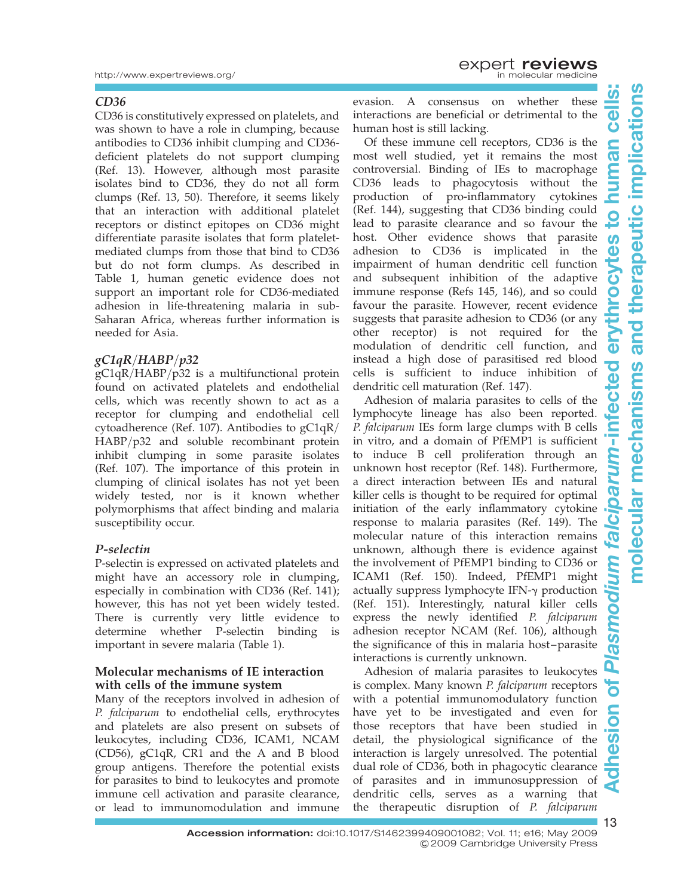#### CD36

CD36 is constitutively expressed on platelets, and was shown to have a role in clumping, because antibodies to CD36 inhibit clumping and CD36 deficient platelets do not support clumping (Ref. 13). However, although most parasite isolates bind to CD36, they do not all form clumps (Ref. 13, 50). Therefore, it seems likely that an interaction with additional platelet receptors or distinct epitopes on CD36 might differentiate parasite isolates that form plateletmediated clumps from those that bind to CD36 but do not form clumps. As described in Table 1, human genetic evidence does not support an important role for CD36-mediated adhesion in life-threatening malaria in sub-Saharan Africa, whereas further information is needed for Asia.

#### $gC1qR/HABP/p32$

gC1qR/HABP/p32 is a multifunctional protein found on activated platelets and endothelial cells, which was recently shown to act as a receptor for clumping and endothelial cell cytoadherence (Ref. 107). Antibodies to gC1qR/ HABP/p32 and soluble recombinant protein inhibit clumping in some parasite isolates (Ref. 107). The importance of this protein in clumping of clinical isolates has not yet been widely tested, nor is it known whether polymorphisms that affect binding and malaria susceptibility occur.

#### P-selectin

P-selectin is expressed on activated platelets and might have an accessory role in clumping, especially in combination with CD36 (Ref. 141); however, this has not yet been widely tested. There is currently very little evidence to determine whether P-selectin binding is important in severe malaria (Table 1).

#### Molecular mechanisms of IE interaction with cells of the immune system

Many of the receptors involved in adhesion of P. falciparum to endothelial cells, erythrocytes and platelets are also present on subsets of leukocytes, including CD36, ICAM1, NCAM (CD56), gC1qR, CR1 and the A and B blood group antigens. Therefore the potential exists for parasites to bind to leukocytes and promote immune cell activation and parasite clearance, or lead to immunomodulation and immune

evasion. A consensus on whether these interactions are beneficial or detrimental to the human host is still lacking.

Of these immune cell receptors, CD36 is the most well studied, yet it remains the most controversial. Binding of IEs to macrophage CD36 leads to phagocytosis without the production of pro-inflammatory cytokines (Ref. 144), suggesting that CD36 binding could lead to parasite clearance and so favour the host. Other evidence shows that parasite adhesion to CD36 is implicated in the impairment of human dendritic cell function and subsequent inhibition of the adaptive immune response (Refs 145, 146), and so could favour the parasite. However, recent evidence suggests that parasite adhesion to CD36 (or any other receptor) is not required for the modulation of dendritic cell function, and instead a high dose of parasitised red blood cells is sufficient to induce inhibition of dendritic cell maturation (Ref. 147).

Adhesion of malaria parasites to cells of the lymphocyte lineage has also been reported. P. falciparum IEs form large clumps with B cells in vitro, and a domain of PfEMP1 is sufficient to induce B cell proliferation through an unknown host receptor (Ref. 148). Furthermore, a direct interaction between IEs and natural killer cells is thought to be required for optimal initiation of the early inflammatory cytokine response to malaria parasites (Ref. 149). The molecular nature of this interaction remains unknown, although there is evidence against the involvement of PfEMP1 binding to CD36 or ICAM1 (Ref. 150). Indeed, PfEMP1 might actually suppress lymphocyte IFN- $\gamma$  production (Ref. 151). Interestingly, natural killer cells express the newly identified P. falciparum adhesion receptor NCAM (Ref. 106), although the significance of this in malaria host–parasite interactions is currently unknown.

Adhesion of malaria parasites to leukocytes is complex. Many known P. falciparum receptors with a potential immunomodulatory function have yet to be investigated and even for those receptors that have been studied in detail, the physiological significance of the interaction is largely unresolved. The potential dual role of CD36, both in phagocytic clearance of parasites and in immunosuppression of dendritic cells, serves as a warning that the therapeutic disruption of P. falciparum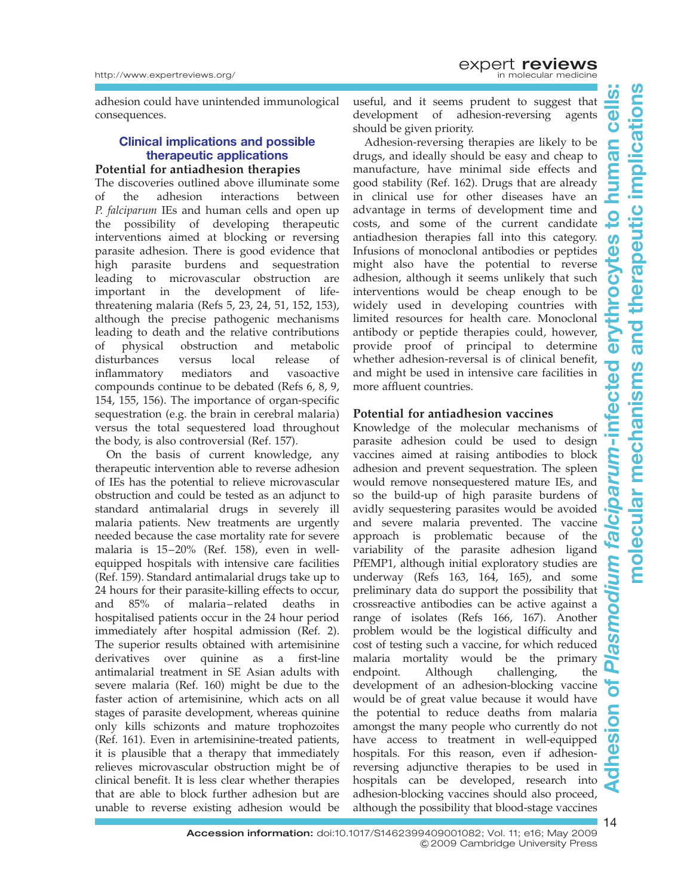adhesion could have unintended immunological consequences.

#### Clinical implications and possible therapeutic applications

#### Potential for antiadhesion therapies

The discoveries outlined above illuminate some of the adhesion interactions between P. falciparum IEs and human cells and open up the possibility of developing therapeutic interventions aimed at blocking or reversing parasite adhesion. There is good evidence that high parasite burdens and sequestration leading to microvascular obstruction are important in the development of lifethreatening malaria (Refs 5, 23, 24, 51, 152, 153), although the precise pathogenic mechanisms leading to death and the relative contributions of physical obstruction and metabolic disturbances versus local release of inflammatory mediators and vasoactive compounds continue to be debated (Refs 6, 8, 9, 154, 155, 156). The importance of organ-specific sequestration (e.g. the brain in cerebral malaria) versus the total sequestered load throughout the body, is also controversial (Ref. 157).

On the basis of current knowledge, any therapeutic intervention able to reverse adhesion of IEs has the potential to relieve microvascular obstruction and could be tested as an adjunct to standard antimalarial drugs in severely ill malaria patients. New treatments are urgently needed because the case mortality rate for severe malaria is 15–20% (Ref. 158), even in wellequipped hospitals with intensive care facilities (Ref. 159). Standard antimalarial drugs take up to 24 hours for their parasite-killing effects to occur,<br>and 85% of malaria-related deaths in 85% of malaria–related deaths in hospitalised patients occur in the 24 hour period immediately after hospital admission (Ref. 2). The superior results obtained with artemisinine derivatives over quinine as a first-line antimalarial treatment in SE Asian adults with severe malaria (Ref. 160) might be due to the faster action of artemisinine, which acts on all stages of parasite development, whereas quinine only kills schizonts and mature trophozoites (Ref. 161). Even in artemisinine-treated patients, it is plausible that a therapy that immediately relieves microvascular obstruction might be of clinical benefit. It is less clear whether therapies that are able to block further adhesion but are unable to reverse existing adhesion would be

useful, and it seems prudent to suggest that development of adhesion-reversing agents should be given priority.

Adhesion-reversing therapies are likely to be drugs, and ideally should be easy and cheap to manufacture, have minimal side effects and good stability (Ref. 162). Drugs that are already in clinical use for other diseases have an advantage in terms of development time and costs, and some of the current candidate antiadhesion therapies fall into this category. Infusions of monoclonal antibodies or peptides might also have the potential to reverse adhesion, although it seems unlikely that such interventions would be cheap enough to be widely used in developing countries with limited resources for health care. Monoclonal antibody or peptide therapies could, however, provide proof of principal to determine whether adhesion-reversal is of clinical benefit, and might be used in intensive care facilities in more affluent countries.

#### Potential for antiadhesion vaccines

Knowledge of the molecular mechanisms of parasite adhesion could be used to design vaccines aimed at raising antibodies to block adhesion and prevent sequestration. The spleen would remove nonsequestered mature IEs, and so the build-up of high parasite burdens of avidly sequestering parasites would be avoided and severe malaria prevented. The vaccine approach is problematic because of the variability of the parasite adhesion ligand PfEMP1, although initial exploratory studies are underway ( $Refs$  163, 164, 165), and some preliminary data do support the possibility that crossreactive antibodies can be active against a range of isolates (Refs 166, 167). Another problem would be the logistical difficulty and cost of testing such a vaccine, for which reduced malaria mortality would be the primary endpoint. Although challenging, the development of an adhesion-blocking vaccine would be of great value because it would have the potential to reduce deaths from malaria amongst the many people who currently do not have access to treatment in well-equipped hospitals. For this reason, even if adhesionreversing adjunctive therapies to be used in hospitals can be developed, research into adhesion-blocking vaccines should also proceed, although the possibility that blood-stage vaccines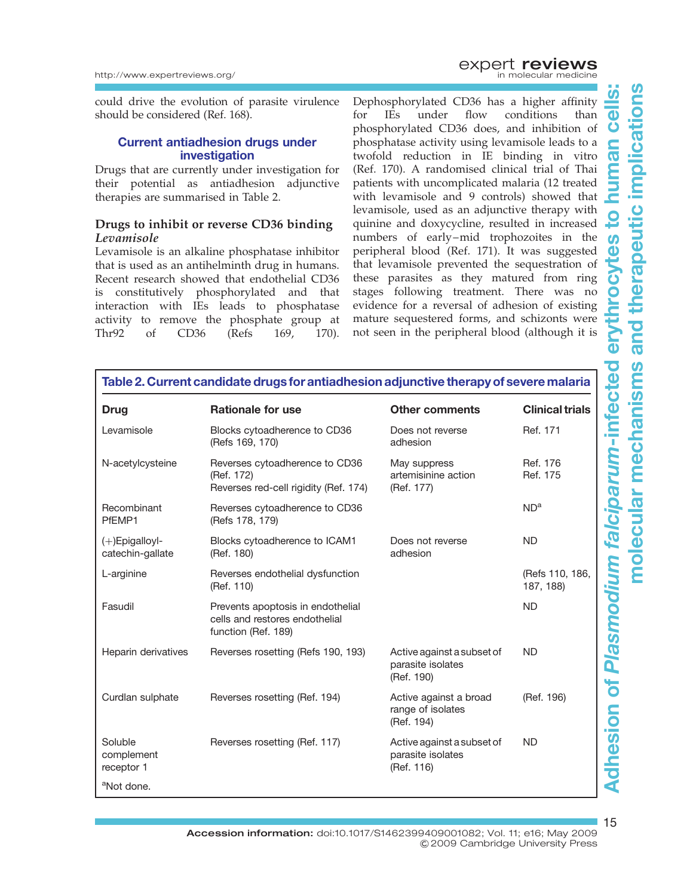could drive the evolution of parasite virulence should be considered (Ref. 168).

#### Current antiadhesion drugs under investigation

Drugs that are currently under investigation for their potential as antiadhesion adjunctive therapies are summarised in Table 2.

#### Drugs to inhibit or reverse CD36 binding Levamisole

Levamisole is an alkaline phosphatase inhibitor that is used as an antihelminth drug in humans. Recent research showed that endothelial CD36 is constitutively phosphorylated and that interaction with IEs leads to phosphatase activity to remove the phosphate group at Thr92 of CD36 (Refs 169, 170).

Dephosphorylated CD36 has a higher affinity for IEs under flow conditions than phosphorylated CD36 does, and inhibition of phosphatase activity using levamisole leads to a twofold reduction in IE binding in vitro (Ref. 170). A randomised clinical trial of Thai patients with uncomplicated malaria (12 treated with levamisole and 9 controls) showed that levamisole, used as an adjunctive therapy with quinine and doxycycline, resulted in increased numbers of early–mid trophozoites in the peripheral blood (Ref. 171). It was suggested that levamisole prevented the sequestration of these parasites as they matured from ring stages following treatment. There was no evidence for a reversal of adhesion of existing mature sequestered forms, and schizonts were not seen in the peripheral blood (although it is

| Table 2. Current candidate drugs for antiadhesion adjunctive therapy of severe malaria |                                                                                            |                                                               |                              |  |
|----------------------------------------------------------------------------------------|--------------------------------------------------------------------------------------------|---------------------------------------------------------------|------------------------------|--|
| <b>Drug</b>                                                                            | <b>Rationale for use</b>                                                                   | <b>Other comments</b>                                         | <b>Clinical trials</b>       |  |
| Levamisole                                                                             | Blocks cytoadherence to CD36<br>(Refs 169, 170)                                            | Does not reverse<br>adhesion                                  | Ref. 171                     |  |
| N-acetylcysteine                                                                       | Reverses cytoadherence to CD36<br>(Ref. 172)<br>Reverses red-cell rigidity (Ref. 174)      | May suppress<br>artemisinine action<br>(Ref. 177)             | Ref. 176<br>Ref. 175         |  |
| Recombinant<br>PfEMP1                                                                  | Reverses cytoadherence to CD36<br>(Refs 178, 179)                                          |                                                               | ND <sup>a</sup>              |  |
| (+)Epigalloyl-<br>catechin-gallate                                                     | Blocks cytoadherence to ICAM1<br>(Ref. 180)                                                | Does not reverse<br>adhesion                                  | ND.                          |  |
| L-arginine                                                                             | Reverses endothelial dysfunction<br>(Ref. 110)                                             |                                                               | (Refs 110, 186,<br>187, 188) |  |
| Fasudil                                                                                | Prevents apoptosis in endothelial<br>cells and restores endothelial<br>function (Ref. 189) |                                                               | <b>ND</b>                    |  |
| Heparin derivatives                                                                    | Reverses rosetting (Refs 190, 193)                                                         | Active against a subset of<br>parasite isolates<br>(Ref. 190) | <b>ND</b>                    |  |
| Curdlan sulphate                                                                       | Reverses rosetting (Ref. 194)                                                              | Active against a broad<br>range of isolates<br>(Ref. 194)     | (Ref. 196)                   |  |
| Soluble<br>complement<br>receptor 1                                                    | Reverses rosetting (Ref. 117)                                                              | Active against a subset of<br>parasite isolates<br>(Ref. 116) | <b>ND</b>                    |  |
| <sup>a</sup> Not done.                                                                 |                                                                                            |                                                               |                              |  |

# molecular mechanisms and therapeutic implicationsand therapeutic implications Adhesion of Plasmodium falciparum-infected erythrocytes to human cells: ഗ  $\overline{\bullet}$ Ŏ an  $\overline{\mathbf{C}}$ tes ပြ  $\overline{\mathbf{0}}$ **Adhesion of Plasmodium falciparum-infected** molecular mechanisms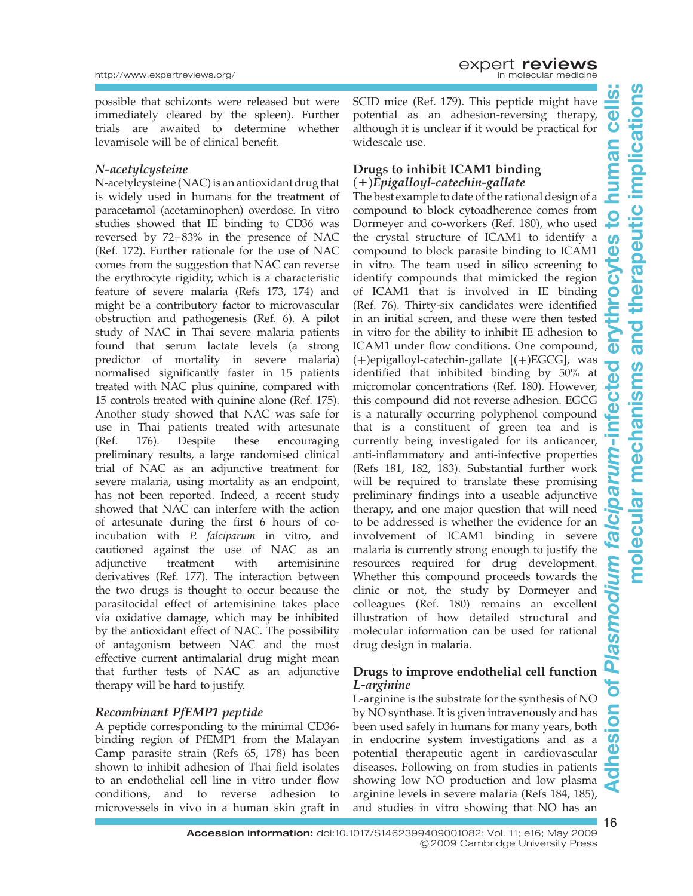possible that schizonts were released but were immediately cleared by the spleen). Further trials are awaited to determine whether levamisole will be of clinical benefit.

#### N-acetylcysteine

N-acetylcysteine (NAC) is an antioxidant drug that is widely used in humans for the treatment of paracetamol (acetaminophen) overdose. In vitro studies showed that IE binding to CD36 was reversed by 72–83% in the presence of NAC (Ref. 172). Further rationale for the use of NAC comes from the suggestion that NAC can reverse the erythrocyte rigidity, which is a characteristic feature of severe malaria (Refs 173, 174) and might be a contributory factor to microvascular obstruction and pathogenesis (Ref. 6). A pilot study of NAC in Thai severe malaria patients found that serum lactate levels (a strong predictor of mortality in severe malaria) normalised significantly faster in 15 patients treated with NAC plus quinine, compared with 15 controls treated with quinine alone (Ref. 175). Another study showed that NAC was safe for use in Thai patients treated with artesunate (Ref. 176). Despite these encouraging preliminary results, a large randomised clinical trial of NAC as an adjunctive treatment for severe malaria, using mortality as an endpoint, has not been reported. Indeed, a recent study showed that NAC can interfere with the action of artesunate during the first 6 hours of coincubation with P. falciparum in vitro, and cautioned against the use of NAC as an adjunctive treatment with artemisinine derivatives (Ref. 177). The interaction between the two drugs is thought to occur because the parasitocidal effect of artemisinine takes place via oxidative damage, which may be inhibited by the antioxidant effect of NAC. The possibility of antagonism between NAC and the most effective current antimalarial drug might mean that further tests of NAC as an adjunctive therapy will be hard to justify.

#### Recombinant PfEMP1 peptide

A peptide corresponding to the minimal CD36 binding region of PfEMP1 from the Malayan Camp parasite strain (Refs 65, 178) has been shown to inhibit adhesion of Thai field isolates to an endothelial cell line in vitro under flow conditions, and to reverse adhesion to microvessels in vivo in a human skin graft in SCID mice (Ref. 179). This peptide might have potential as an adhesion-reversing therapy, although it is unclear if it would be practical for widescale use.

#### Drugs to inhibit ICAM1 binding  $(+)$ Epigalloyl-catechin-gallate

The best example to date of the rational design of a compound to block cytoadherence comes from Dormeyer and co-workers (Ref. 180), who used the crystal structure of ICAM1 to identify a compound to block parasite binding to ICAM1 in vitro. The team used in silico screening to identify compounds that mimicked the region of ICAM1 that is involved in IE binding (Ref. 76). Thirty-six candidates were identified in an initial screen, and these were then tested in vitro for the ability to inhibit IE adhesion to ICAM1 under flow conditions. One compound,  $(+)$ epigalloyl-catechin-gallate  $[(+)EGCG]$ , was identified that inhibited binding by 50% at micromolar concentrations (Ref. 180). However, this compound did not reverse adhesion. EGCG is a naturally occurring polyphenol compound that is a constituent of green tea and is currently being investigated for its anticancer, anti-inflammatory and anti-infective properties (Refs 181, 182, 183). Substantial further work will be required to translate these promising preliminary findings into a useable adjunctive therapy, and one major question that will need to be addressed is whether the evidence for an involvement of ICAM1 binding in severe malaria is currently strong enough to justify the resources required for drug development. Whether this compound proceeds towards the clinic or not, the study by Dormeyer and colleagues (Ref. 180) remains an excellent illustration of how detailed structural and molecular information can be used for rational drug design in malaria.

#### Drugs to improve endothelial cell function L-arginine

L-arginine is the substrate for the synthesis of NO by NO synthase. It is given intravenously and has been used safely in humans for many years, both in endocrine system investigations and as a potential therapeutic agent in cardiovascular diseases. Following on from studies in patients showing low NO production and low plasma arginine levels in severe malaria (Refs 184, 185), and studies in vitro showing that NO has an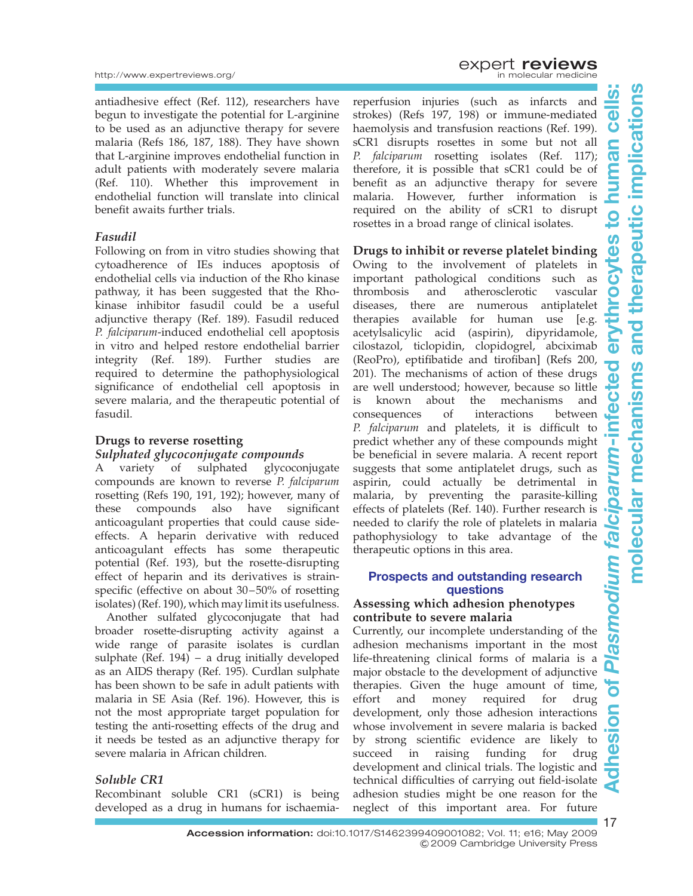antiadhesive effect (Ref. 112), researchers have begun to investigate the potential for L-arginine to be used as an adjunctive therapy for severe malaria (Refs 186, 187, 188). They have shown that L-arginine improves endothelial function in adult patients with moderately severe malaria (Ref. 110). Whether this improvement in endothelial function will translate into clinical benefit awaits further trials.

#### Fasudil

Following on from in vitro studies showing that cytoadherence of IEs induces apoptosis of endothelial cells via induction of the Rho kinase pathway, it has been suggested that the Rhokinase inhibitor fasudil could be a useful adjunctive therapy (Ref. 189). Fasudil reduced P. falciparum-induced endothelial cell apoptosis in vitro and helped restore endothelial barrier integrity (Ref. 189). Further studies are required to determine the pathophysiological significance of endothelial cell apoptosis in severe malaria, and the therapeutic potential of fasudil.

#### Drugs to reverse rosetting

#### Sulphated glycoconjugate compounds

A variety of sulphated glycoconjugate compounds are known to reverse P. falciparum rosetting (Refs 190, 191, 192); however, many of these compounds also have significant anticoagulant properties that could cause sideeffects. A heparin derivative with reduced anticoagulant effects has some therapeutic potential (Ref. 193), but the rosette-disrupting effect of heparin and its derivatives is strainspecific (effective on about 30–50% of rosetting isolates) (Ref. 190), which may limit its usefulness.

Another sulfated glycoconjugate that had broader rosette-disrupting activity against a wide range of parasite isolates is curdlan sulphate (Ref. 194) – a drug initially developed as an AIDS therapy (Ref. 195). Curdlan sulphate has been shown to be safe in adult patients with malaria in SE Asia (Ref. 196). However, this is not the most appropriate target population for testing the anti-rosetting effects of the drug and it needs be tested as an adjunctive therapy for severe malaria in African children.

#### Soluble CR1

Recombinant soluble CR1 (sCR1) is being developed as a drug in humans for ischaemia**EXPERT reviews**<br>in molecular medicine

reperfusion injuries (such as infarcts and strokes) (Refs 197, 198) or immune-mediated haemolysis and transfusion reactions (Ref. 199).

sCR1 disrupts rosettes in some but not all P. falciparum rosetting isolates (Ref. 117); therefore, it is possible that sCR1 could be of benefit as an adjunctive therapy for severe malaria. However, further information is required on the ability of sCR1 to disrupt rosettes in a broad range of clinical isolates.

#### Drugs to inhibit or reverse platelet binding

Owing to the involvement of platelets in important pathological conditions such as thrombosis and atherosclerotic vascular diseases, there are numerous antiplatelet therapies available for human use [e.g. acetylsalicylic acid (aspirin), dipyridamole, cilostazol, ticlopidin, clopidogrel, abciximab (ReoPro), eptifibatide and tirofiban] (Refs 200, 201). The mechanisms of action of these drugs are well understood; however, because so little is known about the mechanisms and consequences of interactions between P. falciparum and platelets, it is difficult to predict whether any of these compounds might be beneficial in severe malaria. A recent report suggests that some antiplatelet drugs, such as aspirin, could actually be detrimental in malaria, by preventing the parasite-killing effects of platelets (Ref. 140). Further research is needed to clarify the role of platelets in malaria pathophysiology to take advantage of the therapeutic options in this area.

#### Prospects and outstanding research questions

#### Assessing which adhesion phenotypes contribute to severe malaria

Currently, our incomplete understanding of the adhesion mechanisms important in the most life-threatening clinical forms of malaria is a major obstacle to the development of adjunctive therapies. Given the huge amount of time, effort and money required for drug development, only those adhesion interactions whose involvement in severe malaria is backed by strong scientific evidence are likely to succeed in raising funding for drug development and clinical trials. The logistic and technical difficulties of carrying out field-isolate adhesion studies might be one reason for the neglect of this important area. For future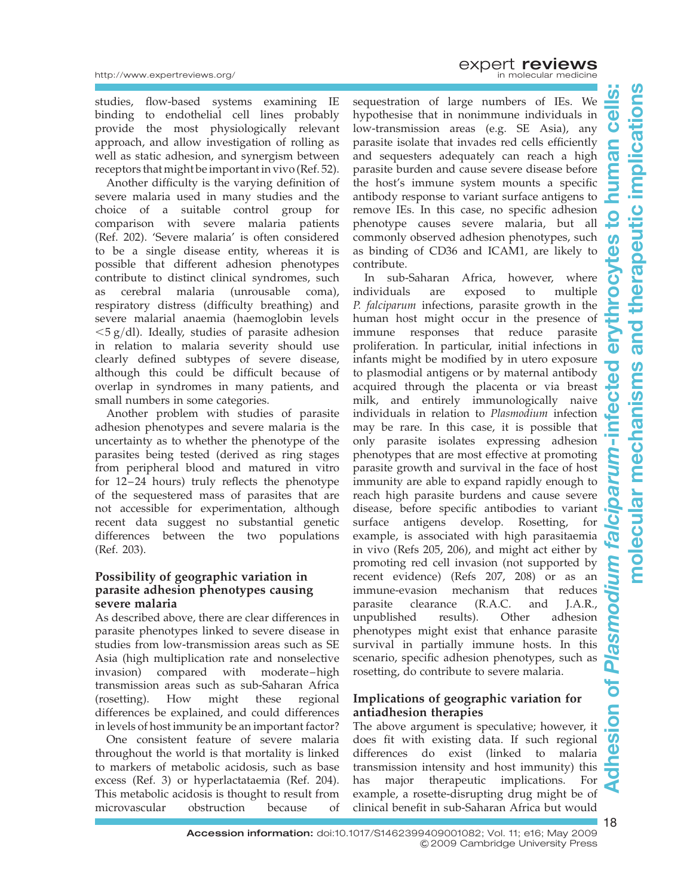studies, flow-based systems examining IE binding to endothelial cell lines probably provide the most physiologically relevant approach, and allow investigation of rolling as well as static adhesion, and synergism between receptors that might be important in vivo (Ref. 52).

Another difficulty is the varying definition of severe malaria used in many studies and the choice of a suitable control group for comparison with severe malaria patients (Ref. 202). 'Severe malaria' is often considered to be a single disease entity, whereas it is possible that different adhesion phenotypes contribute to distinct clinical syndromes, such as cerebral malaria (unrousable coma), respiratory distress (difficulty breathing) and severe malarial anaemia (haemoglobin levels  $\langle$  5 g/dl). Ideally, studies of parasite adhesion in relation to malaria severity should use clearly defined subtypes of severe disease, although this could be difficult because of overlap in syndromes in many patients, and small numbers in some categories.

Another problem with studies of parasite adhesion phenotypes and severe malaria is the uncertainty as to whether the phenotype of the parasites being tested (derived as ring stages from peripheral blood and matured in vitro for 12–24 hours) truly reflects the phenotype of the sequestered mass of parasites that are not accessible for experimentation, although recent data suggest no substantial genetic differences between the two populations (Ref. 203).

#### Possibility of geographic variation in parasite adhesion phenotypes causing severe malaria

As described above, there are clear differences in parasite phenotypes linked to severe disease in studies from low-transmission areas such as SE Asia (high multiplication rate and nonselective invasion) compared with moderate–high transmission areas such as sub-Saharan Africa (rosetting). How might these regional differences be explained, and could differences in levels of host immunity be an important factor?

One consistent feature of severe malaria throughout the world is that mortality is linked to markers of metabolic acidosis, such as base excess (Ref. 3) or hyperlactataemia (Ref. 204). This metabolic acidosis is thought to result from<br>microvascular obstruction because of microvascular obstruction because of

sequestration of large numbers of IEs. We hypothesise that in nonimmune individuals in low-transmission areas (e.g. SE Asia), any parasite isolate that invades red cells efficiently and sequesters adequately can reach a high parasite burden and cause severe disease before the host's immune system mounts a specific antibody response to variant surface antigens to remove IEs. In this case, no specific adhesion phenotype causes severe malaria, but all commonly observed adhesion phenotypes, such as binding of CD36 and ICAM1, are likely to contribute.

In sub-Saharan Africa, however, where individuals are exposed to multiple P. falciparum infections, parasite growth in the human host might occur in the presence of immune responses that reduce parasite proliferation. In particular, initial infections in infants might be modified by in utero exposure to plasmodial antigens or by maternal antibody acquired through the placenta or via breast milk, and entirely immunologically naive individuals in relation to Plasmodium infection may be rare. In this case, it is possible that only parasite isolates expressing adhesion phenotypes that are most effective at promoting parasite growth and survival in the face of host immunity are able to expand rapidly enough to reach high parasite burdens and cause severe disease, before specific antibodies to variant surface antigens develop. Rosetting, for example, is associated with high parasitaemia in vivo (Refs 205, 206), and might act either by promoting red cell invasion (not supported by recent evidence) (Refs 207, 208) or as an immune-evasion mechanism that reduces parasite clearance (R.A.C. and J.A.R., unpublished results). Other adhesion phenotypes might exist that enhance parasite survival in partially immune hosts. In this scenario, specific adhesion phenotypes, such as rosetting, do contribute to severe malaria.

#### Implications of geographic variation for antiadhesion therapies

The above argument is speculative; however, it does fit with existing data. If such regional differences do exist (linked to malaria transmission intensity and host immunity) this has major therapeutic implications. For example, a rosette-disrupting drug might be of clinical benefit in sub-Saharan Africa but would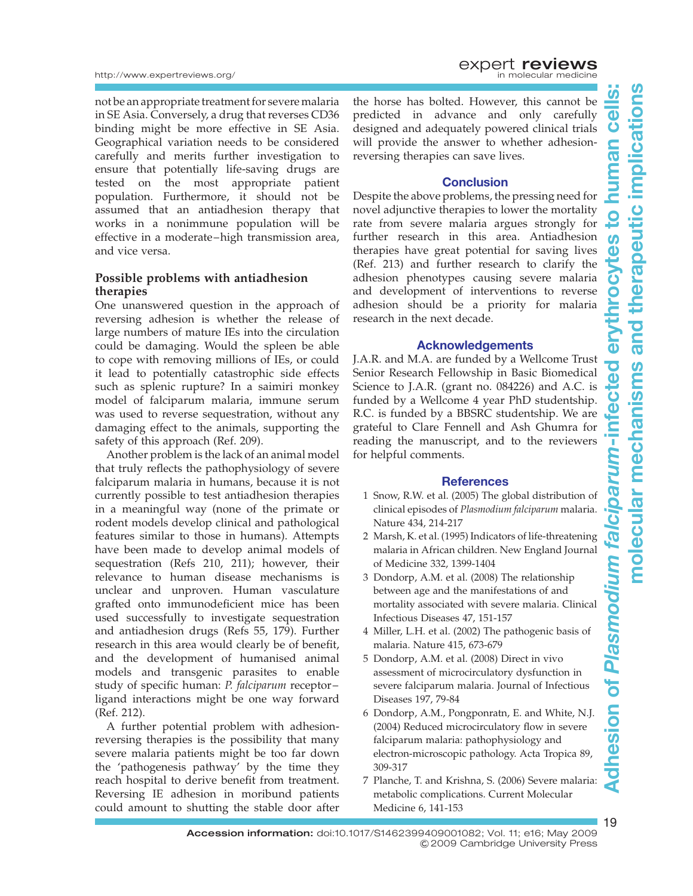not be an appropriate treatment for severe malaria in SE Asia. Conversely, a drug that reverses CD36 binding might be more effective in SE Asia. Geographical variation needs to be considered carefully and merits further investigation to ensure that potentially life-saving drugs are tested on the most appropriate patient population. Furthermore, it should not be assumed that an antiadhesion therapy that works in a nonimmune population will be effective in a moderate–high transmission area, and vice versa.

#### Possible problems with antiadhesion therapies

One unanswered question in the approach of reversing adhesion is whether the release of large numbers of mature IEs into the circulation could be damaging. Would the spleen be able to cope with removing millions of IEs, or could it lead to potentially catastrophic side effects such as splenic rupture? In a saimiri monkey model of falciparum malaria, immune serum was used to reverse sequestration, without any damaging effect to the animals, supporting the safety of this approach (Ref. 209).

Another problem is the lack of an animal model that truly reflects the pathophysiology of severe falciparum malaria in humans, because it is not currently possible to test antiadhesion therapies in a meaningful way (none of the primate or rodent models develop clinical and pathological features similar to those in humans). Attempts have been made to develop animal models of sequestration (Refs 210, 211); however, their relevance to human disease mechanisms is unclear and unproven. Human vasculature grafted onto immunodeficient mice has been used successfully to investigate sequestration and antiadhesion drugs (Refs 55, 179). Further research in this area would clearly be of benefit, and the development of humanised animal models and transgenic parasites to enable study of specific human: P. falciparum receptor– ligand interactions might be one way forward (Ref. 212).

A further potential problem with adhesionreversing therapies is the possibility that many severe malaria patients might be too far down the 'pathogenesis pathway' by the time they reach hospital to derive benefit from treatment. Reversing IE adhesion in moribund patients could amount to shutting the stable door after

**EXPERT reviews**<br>in molecular medicine

the horse has bolted. However, this cannot be predicted in advance and only carefully designed and adequately powered clinical trials will provide the answer to whether adhesionreversing therapies can save lives.

#### **Conclusion**

Despite the above problems, the pressing need for novel adjunctive therapies to lower the mortality rate from severe malaria argues strongly for further research in this area. Antiadhesion therapies have great potential for saving lives (Ref. 213) and further research to clarify the adhesion phenotypes causing severe malaria and development of interventions to reverse adhesion should be a priority for malaria research in the next decade.

#### Acknowledgements

J.A.R. and M.A. are funded by a Wellcome Trust Senior Research Fellowship in Basic Biomedical Science to J.A.R. (grant no. 084226) and A.C. is funded by a Wellcome 4 year PhD studentship. R.C. is funded by a BBSRC studentship. We are grateful to Clare Fennell and Ash Ghumra for reading the manuscript, and to the reviewers for helpful comments.

#### **References**

- 1 Snow, R.W. et al. (2005) The global distribution of clinical episodes of Plasmodium falciparum malaria. Nature 434, 214-217
- 2 Marsh, K. et al. (1995) Indicators of life-threatening malaria in African children. New England Journal of Medicine 332, 1399-1404
- 3 Dondorp, A.M. et al. (2008) The relationship between age and the manifestations of and mortality associated with severe malaria. Clinical Infectious Diseases 47, 151-157
- 4 Miller, L.H. et al. (2002) The pathogenic basis of malaria. Nature 415, 673-679
- 5 Dondorp, A.M. et al. (2008) Direct in vivo assessment of microcirculatory dysfunction in severe falciparum malaria. Journal of Infectious Diseases 197, 79-84
- 6 Dondorp, A.M., Pongponratn, E. and White, N.J. (2004) Reduced microcirculatory flow in severe falciparum malaria: pathophysiology and electron-microscopic pathology. Acta Tropica 89, 309-317
- 7 Planche, T. and Krishna, S. (2006) Severe malaria: metabolic complications. Current Molecular Medicine 6, 141-153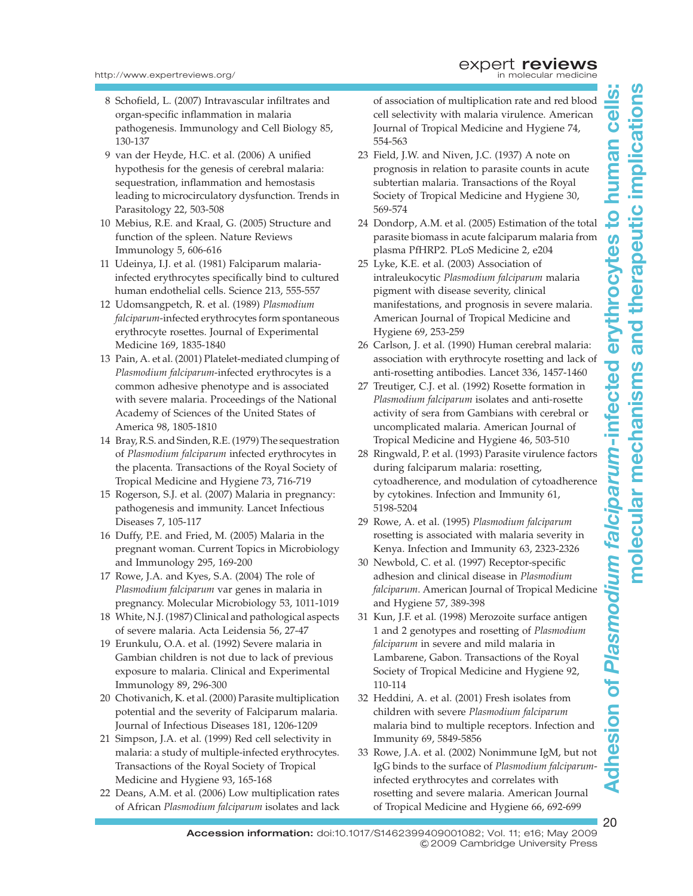- 8 Schofield, L. (2007) Intravascular infiltrates and organ-specific inflammation in malaria pathogenesis. Immunology and Cell Biology 85, 130-137
- 9 van der Heyde, H.C. et al. (2006) A unified hypothesis for the genesis of cerebral malaria: sequestration, inflammation and hemostasis leading to microcirculatory dysfunction. Trends in Parasitology 22, 503-508
- 10 Mebius, R.E. and Kraal, G. (2005) Structure and function of the spleen. Nature Reviews Immunology 5, 606-616
- 11 Udeinya, I.J. et al. (1981) Falciparum malariainfected erythrocytes specifically bind to cultured human endothelial cells. Science 213, 555-557
- 12 Udomsangpetch, R. et al. (1989) Plasmodium falciparum-infected erythrocytes form spontaneous erythrocyte rosettes. Journal of Experimental Medicine 169, 1835-1840
- 13 Pain, A. et al. (2001) Platelet-mediated clumping of Plasmodium falciparum-infected erythrocytes is a common adhesive phenotype and is associated with severe malaria. Proceedings of the National Academy of Sciences of the United States of America 98, 1805-1810
- 14 Bray, R.S. and Sinden, R.E. (1979) The sequestration of Plasmodium falciparum infected erythrocytes in the placenta. Transactions of the Royal Society of Tropical Medicine and Hygiene 73, 716-719
- 15 Rogerson, S.J. et al. (2007) Malaria in pregnancy: pathogenesis and immunity. Lancet Infectious Diseases 7, 105-117
- 16 Duffy, P.E. and Fried, M. (2005) Malaria in the pregnant woman. Current Topics in Microbiology and Immunology 295, 169-200
- 17 Rowe, J.A. and Kyes, S.A. (2004) The role of Plasmodium falciparum var genes in malaria in pregnancy. Molecular Microbiology 53, 1011-1019
- 18 White, N.J. (1987) Clinical and pathological aspects of severe malaria. Acta Leidensia 56, 27-47
- 19 Erunkulu, O.A. et al. (1992) Severe malaria in Gambian children is not due to lack of previous exposure to malaria. Clinical and Experimental Immunology 89, 296-300
- 20 Chotivanich, K. et al. (2000) Parasite multiplication potential and the severity of Falciparum malaria. Journal of Infectious Diseases 181, 1206-1209
- 21 Simpson, J.A. et al. (1999) Red cell selectivity in malaria: a study of multiple-infected erythrocytes. Transactions of the Royal Society of Tropical Medicine and Hygiene 93, 165-168
- 22 Deans, A.M. et al. (2006) Low multiplication rates of African Plasmodium falciparum isolates and lack

of association of multiplication rate and red blood **EXPERT reviews**<br>in molecular medicine

cell selectivity with malaria virulence. American Journal of Tropical Medicine and Hygiene 74, 554-563

- 23 Field, J.W. and Niven, J.C. (1937) A note on prognosis in relation to parasite counts in acute subtertian malaria. Transactions of the Royal Society of Tropical Medicine and Hygiene 30, 569-574
- 24 Dondorp, A.M. et al. (2005) Estimation of the total parasite biomass in acute falciparum malaria from plasma PfHRP2. PLoS Medicine 2, e204
- 25 Lyke, K.E. et al. (2003) Association of intraleukocytic Plasmodium falciparum malaria pigment with disease severity, clinical manifestations, and prognosis in severe malaria. American Journal of Tropical Medicine and Hygiene 69, 253-259
- 26 Carlson, J. et al. (1990) Human cerebral malaria: association with erythrocyte rosetting and lack of anti-rosetting antibodies. Lancet 336, 1457-1460
- 27 Treutiger, C.J. et al. (1992) Rosette formation in Plasmodium falciparum isolates and anti-rosette activity of sera from Gambians with cerebral or uncomplicated malaria. American Journal of Tropical Medicine and Hygiene 46, 503-510
- 28 Ringwald, P. et al. (1993) Parasite virulence factors during falciparum malaria: rosetting, cytoadherence, and modulation of cytoadherence by cytokines. Infection and Immunity 61, 5198-5204
- 29 Rowe, A. et al. (1995) Plasmodium falciparum rosetting is associated with malaria severity in Kenya. Infection and Immunity 63, 2323-2326
- 30 Newbold, C. et al. (1997) Receptor-specific adhesion and clinical disease in Plasmodium falciparum. American Journal of Tropical Medicine and Hygiene 57, 389-398
- 31 Kun, J.F. et al. (1998) Merozoite surface antigen 1 and 2 genotypes and rosetting of Plasmodium falciparum in severe and mild malaria in Lambarene, Gabon. Transactions of the Royal Society of Tropical Medicine and Hygiene 92, 110-114
- 32 Heddini, A. et al. (2001) Fresh isolates from children with severe Plasmodium falciparum malaria bind to multiple receptors. Infection and Immunity 69, 5849-5856
- 33 Rowe, J.A. et al. (2002) Nonimmune IgM, but not IgG binds to the surface of Plasmodium falciparuminfected erythrocytes and correlates with rosetting and severe malaria. American Journal of Tropical Medicine and Hygiene 66, 692-699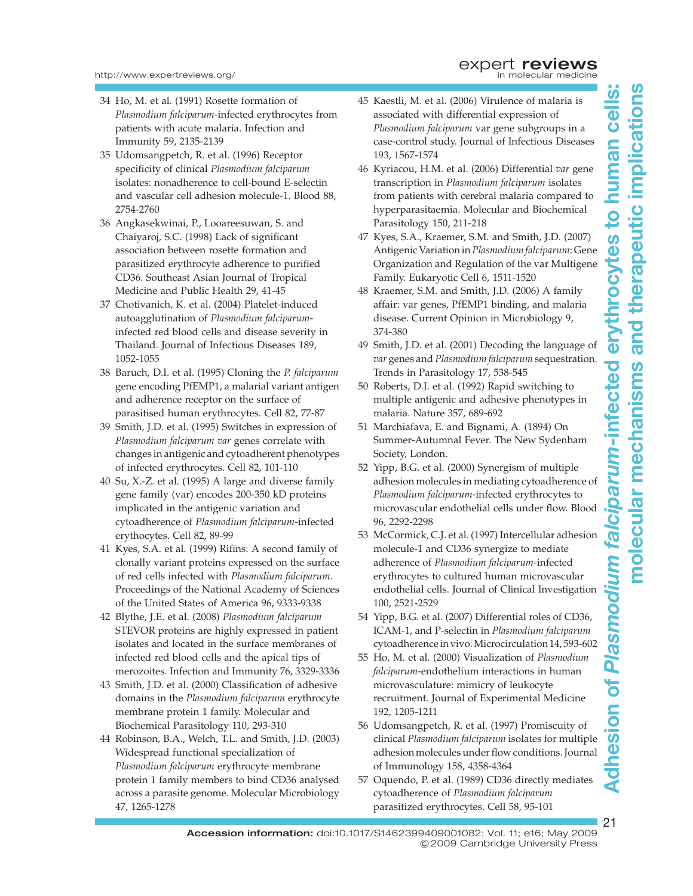- 34 Ho, M. et al. (1991) Rosette formation of Plasmodium falciparum-infected erythrocytes from patients with acute malaria. Infection and Immunity 59, 2135-2139
- 35 Udomsangpetch, R. et al. (1996) Receptor specificity of clinical Plasmodium falciparum isolates: nonadherence to cell-bound E-selectin and vascular cell adhesion molecule-1. Blood 88, 2754-2760
- 36 Angkasekwinai, P., Looareesuwan, S. and Chaiyaroj, S.C. (1998) Lack of significant association between rosette formation and parasitized erythrocyte adherence to purified CD36. Southeast Asian Journal of Tropical Medicine and Public Health 29, 41-45
- 37 Chotivanich, K. et al. (2004) Platelet-induced autoagglutination of Plasmodium falciparuminfected red blood cells and disease severity in Thailand. Journal of Infectious Diseases 189, 1052-1055
- 38 Baruch, D.I. et al. (1995) Cloning the P. falciparum gene encoding PfEMP1, a malarial variant antigen and adherence receptor on the surface of parasitised human erythrocytes. Cell 82, 77-87
- 39 Smith, J.D. et al. (1995) Switches in expression of Plasmodium falciparum var genes correlate with changes in antigenic and cytoadherent phenotypes of infected erythrocytes. Cell 82, 101-110
- 40 Su, X.-Z. et al. (1995) A large and diverse family gene family (var) encodes 200-350 kD proteins implicated in the antigenic variation and cytoadherence of Plasmodium falciparum-infected erythocytes. Cell 82, 89-99
- 41 Kyes, S.A. et al. (1999) Rifins: A second family of clonally variant proteins expressed on the surface of red cells infected with Plasmodium falciparum. Proceedings of the National Academy of Sciences of the United States of America 96, 9333-9338
- 42 Blythe, J.E. et al. (2008) Plasmodium falciparum STEVOR proteins are highly expressed in patient isolates and located in the surface membranes of infected red blood cells and the apical tips of merozoites. Infection and Immunity 76, 3329-3336
- 43 Smith, J.D. et al. (2000) Classification of adhesive domains in the Plasmodium falciparum erythrocyte membrane protein 1 family. Molecular and Biochemical Parasitology 110, 293-310
- 44 Robinson, B.A., Welch, T.L. and Smith, J.D. (2003) Widespread functional specialization of Plasmodium falciparum erythrocyte membrane protein 1 family members to bind CD36 analysed across a parasite genome. Molecular Microbiology 47, 1265-1278
- 45 Kaestli, M. et al. (2006) Virulence of malaria is associated with differential expression of Plasmodium falciparum var gene subgroups in a case-control study. Journal of Infectious Diseases 193, 1567-1574
- 46 Kyriacou, H.M. et al. (2006) Differential var gene transcription in Plasmodium falciparum isolates from patients with cerebral malaria compared to hyperparasitaemia. Molecular and Biochemical Parasitology 150, 211-218
- 47 Kyes, S.A., Kraemer, S.M. and Smith, J.D. (2007) Antigenic Variation in Plasmodium falciparum: Gene Organization and Regulation of the var Multigene Family. Eukaryotic Cell 6, 1511-1520
- 48 Kraemer, S.M. and Smith, J.D. (2006) A family affair: var genes, PfEMP1 binding, and malaria disease. Current Opinion in Microbiology 9, 374-380
- 49 Smith, J.D. et al. (2001) Decoding the language of var genes and Plasmodium falciparum sequestration. Trends in Parasitology 17, 538-545
- 50 Roberts, D.J. et al. (1992) Rapid switching to multiple antigenic and adhesive phenotypes in malaria. Nature 357, 689-692
- 51 Marchiafava, E. and Bignami, A. (1894) On Summer-Autumnal Fever. The New Sydenham Society, London.
- 52 Yipp, B.G. et al. (2000) Synergism of multiple adhesion molecules in mediating cytoadherence of Plasmodium falciparum-infected erythrocytes to microvascular endothelial cells under flow. Blood 96, 2292-2298
- 53 McCormick, C.J. et al. (1997) Intercellular adhesion molecule-1 and CD36 synergize to mediate adherence of Plasmodium falciparum-infected erythrocytes to cultured human microvascular endothelial cells. Journal of Clinical Investigation 100, 2521-2529
- 54 Yipp, B.G. et al. (2007) Differential roles of CD36, ICAM-1, and P-selectin in Plasmodium falciparum cytoadherence in vivo.Microcirculation14, 593-602
- 55 Ho, M. et al. (2000) Visualization of Plasmodium falciparum-endothelium interactions in human microvasculature: mimicry of leukocyte recruitment. Journal of Experimental Medicine 192, 1205-1211
- 56 Udomsangpetch, R. et al. (1997) Promiscuity of clinical Plasmodium falciparum isolates for multiple adhesion molecules under flow conditions. Journal of Immunology 158, 4358-4364
- 57 Oquendo, P. et al. (1989) CD36 directly mediates cytoadherence of Plasmodium falciparum parasitized erythrocytes. Cell 58, 95-101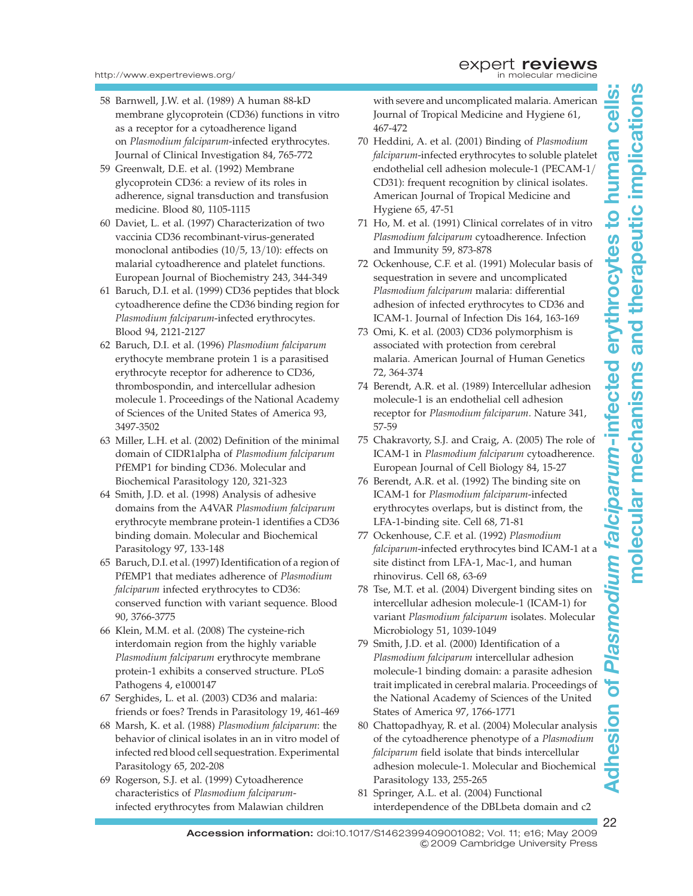- 58 Barnwell, J.W. et al. (1989) A human 88-kD membrane glycoprotein (CD36) functions in vitro as a receptor for a cytoadherence ligand on Plasmodium falciparum-infected erythrocytes. Journal of Clinical Investigation 84, 765-772
- 59 Greenwalt, D.E. et al. (1992) Membrane glycoprotein CD36: a review of its roles in adherence, signal transduction and transfusion medicine. Blood 80, 1105-1115
- 60 Daviet, L. et al. (1997) Characterization of two vaccinia CD36 recombinant-virus-generated monoclonal antibodies (10/5, 13/10): effects on malarial cytoadherence and platelet functions. European Journal of Biochemistry 243, 344-349
- 61 Baruch, D.I. et al. (1999) CD36 peptides that block cytoadherence define the CD36 binding region for Plasmodium falciparum-infected erythrocytes. Blood 94, 2121-2127
- 62 Baruch, D.I. et al. (1996) Plasmodium falciparum erythocyte membrane protein 1 is a parasitised erythrocyte receptor for adherence to CD36, thrombospondin, and intercellular adhesion molecule 1. Proceedings of the National Academy of Sciences of the United States of America 93, 3497-3502
- 63 Miller, L.H. et al. (2002) Definition of the minimal domain of CIDR1alpha of Plasmodium falciparum PfEMP1 for binding CD36. Molecular and Biochemical Parasitology 120, 321-323
- 64 Smith, J.D. et al. (1998) Analysis of adhesive domains from the A4VAR Plasmodium falciparum erythrocyte membrane protein-1 identifies a CD36 binding domain. Molecular and Biochemical Parasitology 97, 133-148
- 65 Baruch, D.I. et al. (1997) Identification of a region of PfEMP1 that mediates adherence of Plasmodium falciparum infected erythrocytes to CD36: conserved function with variant sequence. Blood 90, 3766-3775
- 66 Klein, M.M. et al. (2008) The cysteine-rich interdomain region from the highly variable Plasmodium falciparum erythrocyte membrane protein-1 exhibits a conserved structure. PLoS Pathogens 4, e1000147
- 67 Serghides, L. et al. (2003) CD36 and malaria: friends or foes? Trends in Parasitology 19, 461-469
- 68 Marsh, K. et al. (1988) Plasmodium falciparum: the behavior of clinical isolates in an in vitro model of infected red blood cell sequestration. Experimental Parasitology 65, 202-208
- 69 Rogerson, S.J. et al. (1999) Cytoadherence characteristics of Plasmodium falciparuminfected erythrocytes from Malawian children

with severe and uncomplicated malaria. American Journal of Tropical Medicine and Hygiene 61, 467-472

- 70 Heddini, A. et al. (2001) Binding of Plasmodium falciparum-infected erythrocytes to soluble platelet endothelial cell adhesion molecule-1 (PECAM-1/ CD31): frequent recognition by clinical isolates. American Journal of Tropical Medicine and Hygiene 65, 47-51
- 71 Ho, M. et al. (1991) Clinical correlates of in vitro Plasmodium falciparum cytoadherence. Infection and Immunity 59, 873-878
- 72 Ockenhouse, C.F. et al. (1991) Molecular basis of sequestration in severe and uncomplicated Plasmodium falciparum malaria: differential adhesion of infected erythrocytes to CD36 and ICAM-1. Journal of Infection Dis 164, 163-169
- 73 Omi, K. et al. (2003) CD36 polymorphism is associated with protection from cerebral malaria. American Journal of Human Genetics 72, 364-374
- 74 Berendt, A.R. et al. (1989) Intercellular adhesion molecule-1 is an endothelial cell adhesion receptor for Plasmodium falciparum. Nature 341, 57-59
- 75 Chakravorty, S.J. and Craig, A. (2005) The role of ICAM-1 in Plasmodium falciparum cytoadherence. European Journal of Cell Biology 84, 15-27
- 76 Berendt, A.R. et al. (1992) The binding site on ICAM-1 for Plasmodium falciparum-infected erythrocytes overlaps, but is distinct from, the LFA-1-binding site. Cell 68, 71-81
- 77 Ockenhouse, C.F. et al. (1992) Plasmodium falciparum-infected erythrocytes bind ICAM-1 at a site distinct from LFA-1, Mac-1, and human rhinovirus. Cell 68, 63-69
- 78 Tse, M.T. et al. (2004) Divergent binding sites on intercellular adhesion molecule-1 (ICAM-1) for variant Plasmodium falciparum isolates. Molecular Microbiology 51, 1039-1049
- 79 Smith, J.D. et al. (2000) Identification of a Plasmodium falciparum intercellular adhesion molecule-1 binding domain: a parasite adhesion trait implicated in cerebral malaria. Proceedings of the National Academy of Sciences of the United States of America 97, 1766-1771
- 80 Chattopadhyay, R. et al. (2004) Molecular analysis of the cytoadherence phenotype of a Plasmodium falciparum field isolate that binds intercellular adhesion molecule-1. Molecular and Biochemical Parasitology 133, 255-265
- 81 Springer, A.L. et al. (2004) Functional interdependence of the DBLbeta domain and c2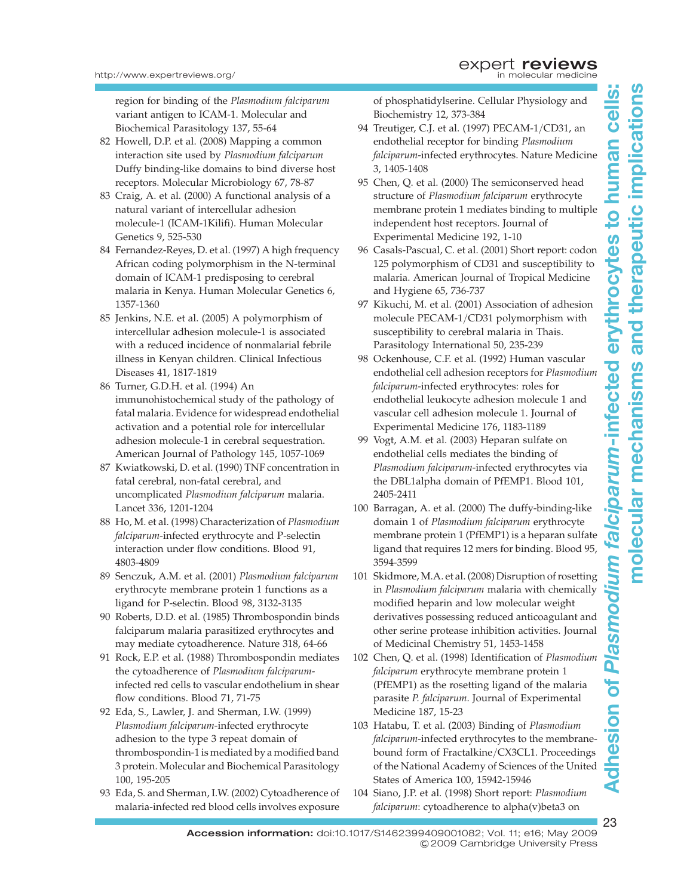molecular mechanisms and therapeutic implicationsmolecular mechanisms and therapeutic implications

region for binding of the Plasmodium falciparum variant antigen to ICAM-1. Molecular and Biochemical Parasitology 137, 55-64

- 82 Howell, D.P. et al. (2008) Mapping a common interaction site used by Plasmodium falciparum Duffy binding-like domains to bind diverse host receptors. Molecular Microbiology 67, 78-87
- 83 Craig, A. et al. (2000) A functional analysis of a natural variant of intercellular adhesion molecule-1 (ICAM-1Kilifi). Human Molecular Genetics 9, 525-530
- 84 Fernandez-Reyes, D. et al. (1997) A high frequency African coding polymorphism in the N-terminal domain of ICAM-1 predisposing to cerebral malaria in Kenya. Human Molecular Genetics 6, 1357-1360
- 85 Jenkins, N.E. et al. (2005) A polymorphism of intercellular adhesion molecule-1 is associated with a reduced incidence of nonmalarial febrile illness in Kenyan children. Clinical Infectious Diseases 41, 1817-1819
- 86 Turner, G.D.H. et al. (1994) An immunohistochemical study of the pathology of fatal malaria. Evidence for widespread endothelial activation and a potential role for intercellular adhesion molecule-1 in cerebral sequestration. American Journal of Pathology 145, 1057-1069
- 87 Kwiatkowski, D. et al. (1990) TNF concentration in fatal cerebral, non-fatal cerebral, and uncomplicated Plasmodium falciparum malaria. Lancet 336, 1201-1204
- 88 Ho, M. et al. (1998) Characterization of Plasmodium falciparum-infected erythrocyte and P-selectin interaction under flow conditions. Blood 91, 4803-4809
- 89 Senczuk, A.M. et al. (2001) Plasmodium falciparum erythrocyte membrane protein 1 functions as a ligand for P-selectin. Blood 98, 3132-3135
- 90 Roberts, D.D. et al. (1985) Thrombospondin binds falciparum malaria parasitized erythrocytes and may mediate cytoadherence. Nature 318, 64-66
- 91 Rock, E.P. et al. (1988) Thrombospondin mediates the cytoadherence of Plasmodium falciparuminfected red cells to vascular endothelium in shear flow conditions. Blood 71, 71-75
- 92 Eda, S., Lawler, J. and Sherman, I.W. (1999) Plasmodium falciparum-infected erythrocyte adhesion to the type 3 repeat domain of thrombospondin-1 is mediated by a modified band 3 protein. Molecular and Biochemical Parasitology 100, 195-205
- 93 Eda, S. and Sherman, I.W. (2002) Cytoadherence of malaria-infected red blood cells involves exposure

of phosphatidylserine. Cellular Physiology and Biochemistry 12, 373-384

- 94 Treutiger, C.J. et al. (1997) PECAM-1/CD31, an endothelial receptor for binding Plasmodium falciparum-infected erythrocytes. Nature Medicine 3, 1405-1408
- 95 Chen, Q. et al. (2000) The semiconserved head structure of Plasmodium falciparum erythrocyte membrane protein 1 mediates binding to multiple independent host receptors. Journal of Experimental Medicine 192, 1-10
- 96 Casals-Pascual, C. et al. (2001) Short report: codon 125 polymorphism of CD31 and susceptibility to malaria. American Journal of Tropical Medicine and Hygiene 65, 736-737
- 97 Kikuchi, M. et al. (2001) Association of adhesion molecule PECAM-1/CD31 polymorphism with susceptibility to cerebral malaria in Thais. Parasitology International 50, 235-239
- 98 Ockenhouse, C.F. et al. (1992) Human vascular endothelial cell adhesion receptors for Plasmodium falciparum-infected erythrocytes: roles for endothelial leukocyte adhesion molecule 1 and vascular cell adhesion molecule 1. Journal of Experimental Medicine 176, 1183-1189
- 99 Vogt, A.M. et al. (2003) Heparan sulfate on endothelial cells mediates the binding of Plasmodium falciparum-infected erythrocytes via the DBL1alpha domain of PfEMP1. Blood 101, 2405-2411
- 100 Barragan, A. et al. (2000) The duffy-binding-like domain 1 of Plasmodium falciparum erythrocyte membrane protein 1 (PfEMP1) is a heparan sulfate ligand that requires 12 mers for binding. Blood 95, 3594-3599
- 101 Skidmore, M.A. et al. (2008) Disruption of rosetting in Plasmodium falciparum malaria with chemically modified heparin and low molecular weight derivatives possessing reduced anticoagulant and other serine protease inhibition activities. Journal of Medicinal Chemistry 51, 1453-1458
- 102 Chen, Q. et al. (1998) Identification of Plasmodium falciparum erythrocyte membrane protein 1 (PfEMP1) as the rosetting ligand of the malaria parasite P. falciparum. Journal of Experimental Medicine 187, 15-23
- 103 Hatabu, T. et al. (2003) Binding of Plasmodium falciparum-infected erythrocytes to the membranebound form of Fractalkine/CX3CL1. Proceedings of the National Academy of Sciences of the United States of America 100, 15942-15946
- 104 Siano, J.P. et al. (1998) Short report: Plasmodium falciparum: cytoadherence to alpha(v)beta3 on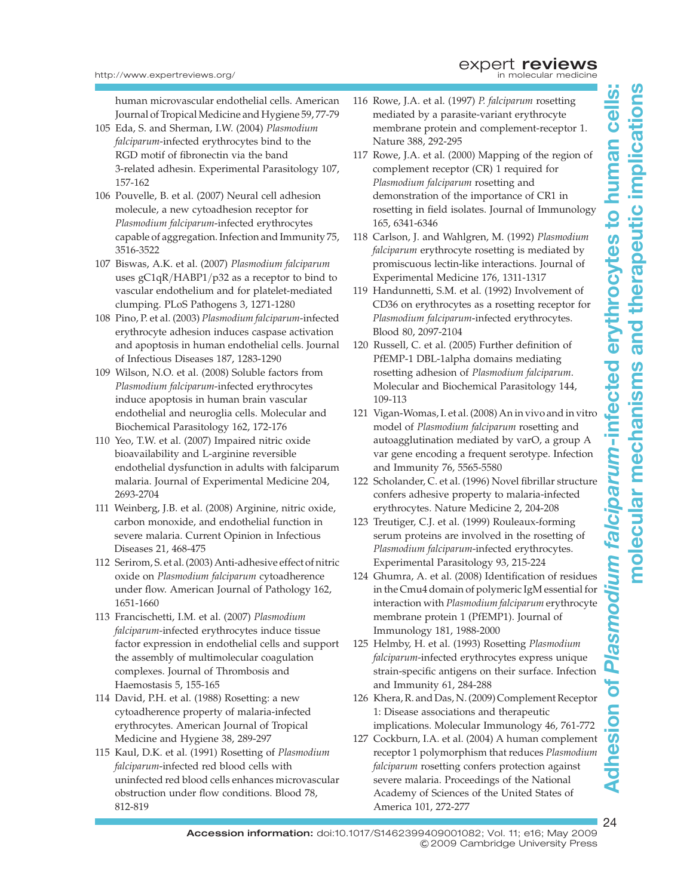human microvascular endothelial cells. American Journal of Tropical Medicine and Hygiene 59, 77-79

- 105 Eda, S. and Sherman, I.W. (2004) Plasmodium falciparum-infected erythrocytes bind to the RGD motif of fibronectin via the band 3-related adhesin. Experimental Parasitology 107, 157-162
- 106 Pouvelle, B. et al. (2007) Neural cell adhesion molecule, a new cytoadhesion receptor for Plasmodium falciparum-infected erythrocytes capable of aggregation. Infection and Immunity 75, 3516-3522
- 107 Biswas, A.K. et al. (2007) Plasmodium falciparum uses gC1qR/HABP1/p32 as a receptor to bind to vascular endothelium and for platelet-mediated clumping. PLoS Pathogens 3, 1271-1280
- 108 Pino, P. et al. (2003) Plasmodium falciparum-infected erythrocyte adhesion induces caspase activation and apoptosis in human endothelial cells. Journal of Infectious Diseases 187, 1283-1290
- 109 Wilson, N.O. et al. (2008) Soluble factors from Plasmodium falciparum-infected erythrocytes induce apoptosis in human brain vascular endothelial and neuroglia cells. Molecular and Biochemical Parasitology 162, 172-176
- 110 Yeo, T.W. et al. (2007) Impaired nitric oxide bioavailability and L-arginine reversible endothelial dysfunction in adults with falciparum malaria. Journal of Experimental Medicine 204, 2693-2704
- 111 Weinberg, J.B. et al. (2008) Arginine, nitric oxide, carbon monoxide, and endothelial function in severe malaria. Current Opinion in Infectious Diseases 21, 468-475
- 112 Serirom, S. et al. (2003) Anti-adhesive effect of nitric oxide on Plasmodium falciparum cytoadherence under flow. American Journal of Pathology 162, 1651-1660
- 113 Francischetti, I.M. et al. (2007) Plasmodium falciparum-infected erythrocytes induce tissue factor expression in endothelial cells and support the assembly of multimolecular coagulation complexes. Journal of Thrombosis and Haemostasis 5, 155-165
- 114 David, P.H. et al. (1988) Rosetting: a new cytoadherence property of malaria-infected erythrocytes. American Journal of Tropical Medicine and Hygiene 38, 289-297
- 115 Kaul, D.K. et al. (1991) Rosetting of Plasmodium falciparum-infected red blood cells with uninfected red blood cells enhances microvascular obstruction under flow conditions. Blood 78, 812-819
- 116 Rowe, J.A. et al. (1997) P. falciparum rosetting mediated by a parasite-variant erythrocyte membrane protein and complement-receptor 1. Nature 388, 292-295
- 117 Rowe, J.A. et al. (2000) Mapping of the region of complement receptor (CR) 1 required for Plasmodium falciparum rosetting and demonstration of the importance of CR1 in rosetting in field isolates. Journal of Immunology 165, 6341-6346
- 118 Carlson, J. and Wahlgren, M. (1992) Plasmodium falciparum erythrocyte rosetting is mediated by promiscuous lectin-like interactions. Journal of Experimental Medicine 176, 1311-1317
- 119 Handunnetti, S.M. et al. (1992) Involvement of CD36 on erythrocytes as a rosetting receptor for Plasmodium falciparum-infected erythrocytes. Blood 80, 2097-2104
- 120 Russell, C. et al. (2005) Further definition of PfEMP-1 DBL-1alpha domains mediating rosetting adhesion of Plasmodium falciparum. Molecular and Biochemical Parasitology 144, 109-113
- 121 Vigan-Womas, I. et al. (2008) An in vivo and in vitro model of Plasmodium falciparum rosetting and autoagglutination mediated by varO, a group A var gene encoding a frequent serotype. Infection and Immunity 76, 5565-5580
- 122 Scholander, C. et al. (1996) Novel fibrillar structure confers adhesive property to malaria-infected erythrocytes. Nature Medicine 2, 204-208
- 123 Treutiger, C.J. et al. (1999) Rouleaux-forming serum proteins are involved in the rosetting of Plasmodium falciparum-infected erythrocytes. Experimental Parasitology 93, 215-224
- 124 Ghumra, A. et al. (2008) Identification of residues in the Cmu4 domain of polymeric IgM essential for interaction with Plasmodium falciparum erythrocyte membrane protein 1 (PfEMP1). Journal of Immunology 181, 1988-2000
- 125 Helmby, H. et al. (1993) Rosetting Plasmodium falciparum-infected erythrocytes express unique strain-specific antigens on their surface. Infection and Immunity 61, 284-288
- 126 Khera, R. and Das, N. (2009) Complement Receptor 1: Disease associations and therapeutic implications. Molecular Immunology 46, 761-772
- 127 Cockburn, I.A. et al. (2004) A human complement receptor 1 polymorphism that reduces Plasmodium falciparum rosetting confers protection against severe malaria. Proceedings of the National Academy of Sciences of the United States of America 101, 272-277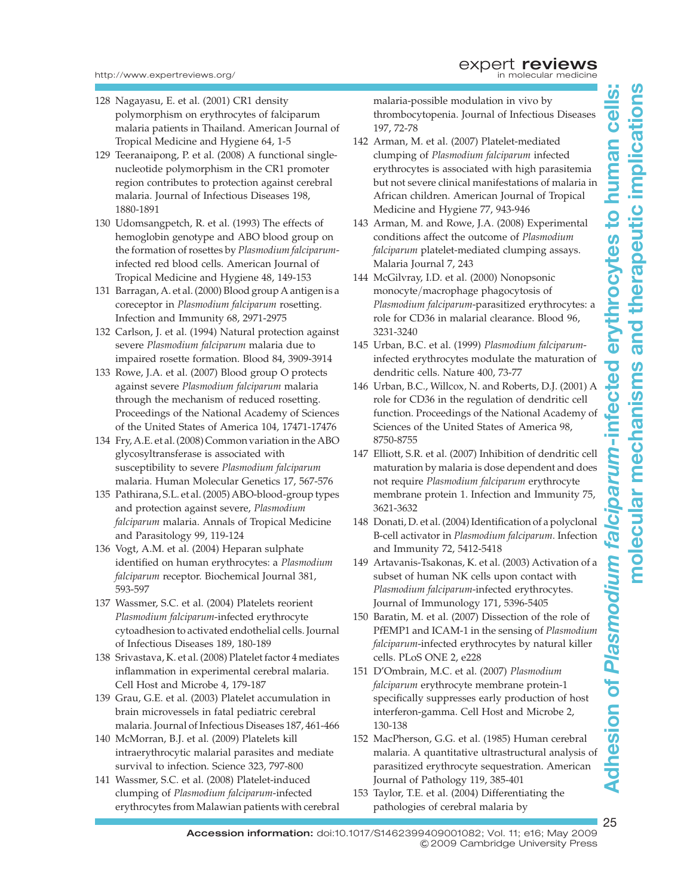- 128 Nagayasu, E. et al. (2001) CR1 density polymorphism on erythrocytes of falciparum malaria patients in Thailand. American Journal of Tropical Medicine and Hygiene 64, 1-5
- 129 Teeranaipong, P. et al. (2008) A functional singlenucleotide polymorphism in the CR1 promoter region contributes to protection against cerebral malaria. Journal of Infectious Diseases 198, 1880-1891
- 130 Udomsangpetch, R. et al. (1993) The effects of hemoglobin genotype and ABO blood group on the formation of rosettes by Plasmodium falciparuminfected red blood cells. American Journal of Tropical Medicine and Hygiene 48, 149-153
- 131 Barragan, A. et al. (2000) Blood group A antigen is a coreceptor in Plasmodium falciparum rosetting. Infection and Immunity 68, 2971-2975
- 132 Carlson, J. et al. (1994) Natural protection against severe Plasmodium falciparum malaria due to impaired rosette formation. Blood 84, 3909-3914
- 133 Rowe, J.A. et al. (2007) Blood group O protects against severe Plasmodium falciparum malaria through the mechanism of reduced rosetting. Proceedings of the National Academy of Sciences of the United States of America 104, 17471-17476
- 134 Fry, A.E. et al. (2008) Common variation in the ABO glycosyltransferase is associated with susceptibility to severe Plasmodium falciparum malaria. Human Molecular Genetics 17, 567-576
- 135 Pathirana, S.L. et al. (2005) ABO-blood-group types and protection against severe, Plasmodium falciparum malaria. Annals of Tropical Medicine and Parasitology 99, 119-124
- 136 Vogt, A.M. et al. (2004) Heparan sulphate identified on human erythrocytes: a Plasmodium falciparum receptor. Biochemical Journal 381, 593-597
- 137 Wassmer, S.C. et al. (2004) Platelets reorient Plasmodium falciparum-infected erythrocyte cytoadhesion to activated endothelial cells. Journal of Infectious Diseases 189, 180-189
- 138 Srivastava, K. et al. (2008) Platelet factor 4 mediates inflammation in experimental cerebral malaria. Cell Host and Microbe 4, 179-187
- 139 Grau, G.E. et al. (2003) Platelet accumulation in brain microvessels in fatal pediatric cerebral malaria. Journal of Infectious Diseases 187, 461-466
- 140 McMorran, B.J. et al. (2009) Platelets kill intraerythrocytic malarial parasites and mediate survival to infection. Science 323, 797-800
- 141 Wassmer, S.C. et al. (2008) Platelet-induced clumping of Plasmodium falciparum-infected erythrocytes from Malawian patients with cerebral

malaria-possible modulation in vivo by thrombocytopenia. Journal of Infectious Diseases 197, 72-78

- 142 Arman, M. et al. (2007) Platelet-mediated clumping of Plasmodium falciparum infected erythrocytes is associated with high parasitemia but not severe clinical manifestations of malaria in African children. American Journal of Tropical Medicine and Hygiene 77, 943-946
- 143 Arman, M. and Rowe, J.A. (2008) Experimental conditions affect the outcome of Plasmodium falciparum platelet-mediated clumping assays. Malaria Journal 7, 243
- 144 McGilvray, I.D. et al. (2000) Nonopsonic monocyte/macrophage phagocytosis of Plasmodium falciparum-parasitized erythrocytes: a role for CD36 in malarial clearance. Blood 96, 3231-3240
- 145 Urban, B.C. et al. (1999) Plasmodium falciparuminfected erythrocytes modulate the maturation of dendritic cells. Nature 400, 73-77
- 146 Urban, B.C., Willcox, N. and Roberts, D.J. (2001) A role for CD36 in the regulation of dendritic cell function. Proceedings of the National Academy of Sciences of the United States of America 98, 8750-8755
- 147 Elliott, S.R. et al. (2007) Inhibition of dendritic cell maturation by malaria is dose dependent and does not require Plasmodium falciparum erythrocyte membrane protein 1. Infection and Immunity 75, 3621-3632
- 148 Donati, D. et al. (2004) Identification of a polyclonal B-cell activator in Plasmodium falciparum. Infection and Immunity 72, 5412-5418
- 149 Artavanis-Tsakonas, K. et al. (2003) Activation of a subset of human NK cells upon contact with Plasmodium falciparum-infected erythrocytes. Journal of Immunology 171, 5396-5405
- 150 Baratin, M. et al. (2007) Dissection of the role of PfEMP1 and ICAM-1 in the sensing of Plasmodium falciparum-infected erythrocytes by natural killer cells. PLoS ONE 2, e228
- 151 D'Ombrain, M.C. et al. (2007) Plasmodium falciparum erythrocyte membrane protein-1 specifically suppresses early production of host interferon-gamma. Cell Host and Microbe 2, 130-138
- 152 MacPherson, G.G. et al. (1985) Human cerebral malaria. A quantitative ultrastructural analysis of parasitized erythrocyte sequestration. American Journal of Pathology 119, 385-401
- 153 Taylor, T.E. et al. (2004) Differentiating the pathologies of cerebral malaria by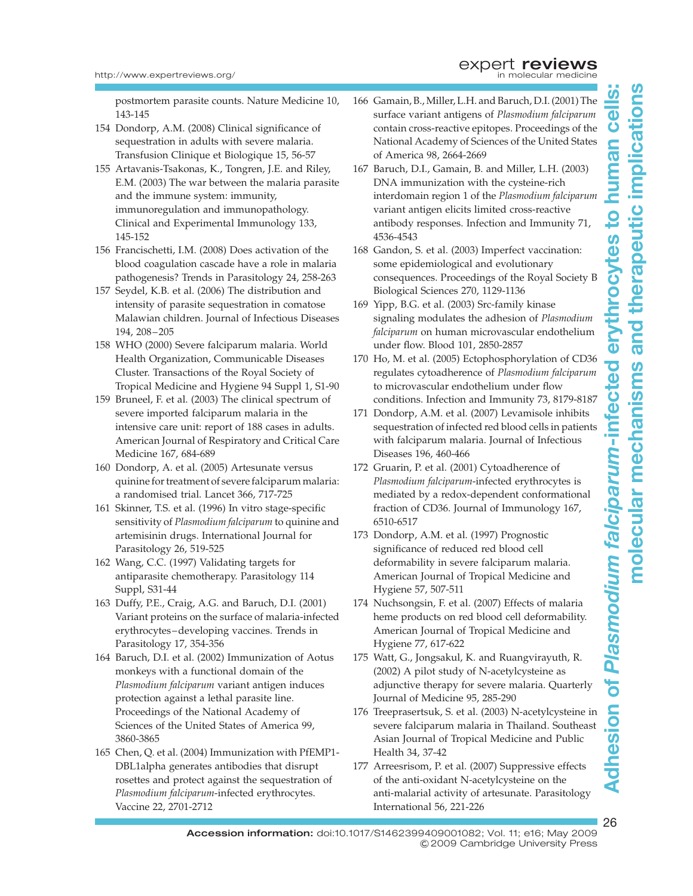postmortem parasite counts. Nature Medicine 10, 143-145

- 154 Dondorp, A.M. (2008) Clinical significance of sequestration in adults with severe malaria. Transfusion Clinique et Biologique 15, 56-57
- 155 Artavanis-Tsakonas, K., Tongren, J.E. and Riley, E.M. (2003) The war between the malaria parasite and the immune system: immunity, immunoregulation and immunopathology. Clinical and Experimental Immunology 133, 145-152
- 156 Francischetti, I.M. (2008) Does activation of the blood coagulation cascade have a role in malaria pathogenesis? Trends in Parasitology 24, 258-263
- 157 Seydel, K.B. et al. (2006) The distribution and intensity of parasite sequestration in comatose Malawian children. Journal of Infectious Diseases 194, 208–205
- 158 WHO (2000) Severe falciparum malaria. World Health Organization, Communicable Diseases Cluster. Transactions of the Royal Society of Tropical Medicine and Hygiene 94 Suppl 1, S1-90
- 159 Bruneel, F. et al. (2003) The clinical spectrum of severe imported falciparum malaria in the intensive care unit: report of 188 cases in adults. American Journal of Respiratory and Critical Care Medicine 167, 684-689
- 160 Dondorp, A. et al. (2005) Artesunate versus quinine for treatment of severe falciparum malaria: a randomised trial. Lancet 366, 717-725
- 161 Skinner, T.S. et al. (1996) In vitro stage-specific sensitivity of Plasmodium falciparum to quinine and artemisinin drugs. International Journal for Parasitology 26, 519-525
- 162 Wang, C.C. (1997) Validating targets for antiparasite chemotherapy. Parasitology 114 Suppl, S31-44
- 163 Duffy, P.E., Craig, A.G. and Baruch, D.I. (2001) Variant proteins on the surface of malaria-infected erythrocytes–developing vaccines. Trends in Parasitology 17, 354-356
- 164 Baruch, D.I. et al. (2002) Immunization of Aotus monkeys with a functional domain of the Plasmodium falciparum variant antigen induces protection against a lethal parasite line. Proceedings of the National Academy of Sciences of the United States of America 99, 3860-3865
- 165 Chen, Q. et al. (2004) Immunization with PfEMP1- DBL1alpha generates antibodies that disrupt rosettes and protect against the sequestration of Plasmodium falciparum-infected erythrocytes. Vaccine 22, 2701-2712
- 166 Gamain, B., Miller, L.H. and Baruch, D.I. (2001) The surface variant antigens of Plasmodium falciparum contain cross-reactive epitopes. Proceedings of the National Academy of Sciences of the United States of America 98, 2664-2669
- 167 Baruch, D.I., Gamain, B. and Miller, L.H. (2003) DNA immunization with the cysteine-rich interdomain region 1 of the Plasmodium falciparum variant antigen elicits limited cross-reactive antibody responses. Infection and Immunity 71, 4536-4543
- 168 Gandon, S. et al. (2003) Imperfect vaccination: some epidemiological and evolutionary consequences. Proceedings of the Royal Society B Biological Sciences 270, 1129-1136
- 169 Yipp, B.G. et al. (2003) Src-family kinase signaling modulates the adhesion of Plasmodium falciparum on human microvascular endothelium under flow. Blood 101, 2850-2857
- 170 Ho, M. et al. (2005) Ectophosphorylation of CD36 regulates cytoadherence of Plasmodium falciparum to microvascular endothelium under flow conditions. Infection and Immunity 73, 8179-8187
- 171 Dondorp, A.M. et al. (2007) Levamisole inhibits sequestration of infected red blood cells in patients with falciparum malaria. Journal of Infectious Diseases 196, 460-466
- 172 Gruarin, P. et al. (2001) Cytoadherence of Plasmodium falciparum-infected erythrocytes is mediated by a redox-dependent conformational fraction of CD36. Journal of Immunology 167, 6510-6517
- 173 Dondorp, A.M. et al. (1997) Prognostic significance of reduced red blood cell deformability in severe falciparum malaria. American Journal of Tropical Medicine and Hygiene 57, 507-511
- 174 Nuchsongsin, F. et al. (2007) Effects of malaria heme products on red blood cell deformability. American Journal of Tropical Medicine and Hygiene 77, 617-622
- 175 Watt, G., Jongsakul, K. and Ruangvirayuth, R. (2002) A pilot study of N-acetylcysteine as adjunctive therapy for severe malaria. Quarterly Journal of Medicine 95, 285-290
- 176 Treeprasertsuk, S. et al. (2003) N-acetylcysteine in severe falciparum malaria in Thailand. Southeast Asian Journal of Tropical Medicine and Public Health 34, 37-42
- 177 Arreesrisom, P. et al. (2007) Suppressive effects of the anti-oxidant N-acetylcysteine on the anti-malarial activity of artesunate. Parasitology International 56, 221-226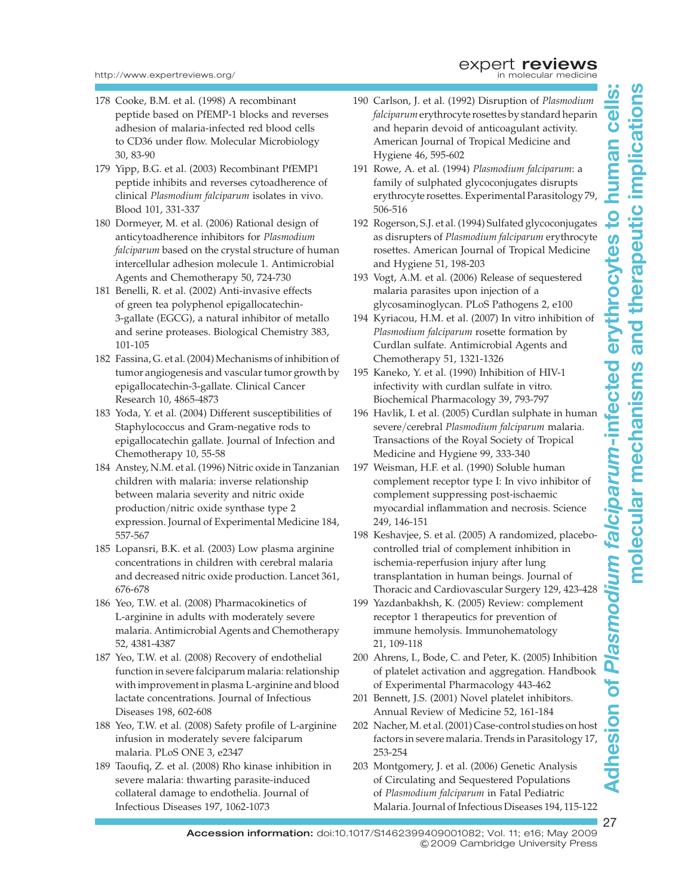- 178 Cooke, B.M. et al. (1998) A recombinant peptide based on PfEMP-1 blocks and reverses adhesion of malaria-infected red blood cells to CD36 under flow. Molecular Microbiology 30, 83-90
- 179 Yipp, B.G. et al. (2003) Recombinant PfEMP1 peptide inhibits and reverses cytoadherence of clinical Plasmodium falciparum isolates in vivo. Blood 101, 331-337
- 180 Dormeyer, M. et al. (2006) Rational design of anticytoadherence inhibitors for Plasmodium falciparum based on the crystal structure of human intercellular adhesion molecule 1. Antimicrobial Agents and Chemotherapy 50, 724-730
- 181 Benelli, R. et al. (2002) Anti-invasive effects of green tea polyphenol epigallocatechin-3-gallate (EGCG), a natural inhibitor of metallo and serine proteases. Biological Chemistry 383, 101-105
- 182 Fassina, G. et al. (2004) Mechanisms of inhibition of tumor angiogenesis and vascular tumor growth by epigallocatechin-3-gallate. Clinical Cancer Research 10, 4865-4873
- 183 Yoda, Y. et al. (2004) Different susceptibilities of Staphylococcus and Gram-negative rods to epigallocatechin gallate. Journal of Infection and Chemotherapy 10, 55-58
- 184 Anstey, N.M. et al. (1996) Nitric oxide in Tanzanian children with malaria: inverse relationship between malaria severity and nitric oxide production/nitric oxide synthase type 2 expression. Journal of Experimental Medicine 184, 557-567
- 185 Lopansri, B.K. et al. (2003) Low plasma arginine concentrations in children with cerebral malaria and decreased nitric oxide production. Lancet 361, 676-678
- 186 Yeo, T.W. et al. (2008) Pharmacokinetics of L-arginine in adults with moderately severe malaria. Antimicrobial Agents and Chemotherapy 52, 4381-4387
- 187 Yeo, T.W. et al. (2008) Recovery of endothelial function in severe falciparum malaria: relationship with improvement in plasma L-arginine and blood lactate concentrations. Journal of Infectious Diseases 198, 602-608
- 188 Yeo, T.W. et al. (2008) Safety profile of L-arginine infusion in moderately severe falciparum malaria. PLoS ONE 3, e2347
- 189 Taoufiq, Z. et al. (2008) Rho kinase inhibition in severe malaria: thwarting parasite-induced collateral damage to endothelia. Journal of Infectious Diseases 197, 1062-1073
- 190 Carlson, J. et al. (1992) Disruption of Plasmodium falciparumerythrocyte rosettes by standard heparin and heparin devoid of anticoagulant activity. American Journal of Tropical Medicine and Hygiene 46, 595-602
- 191 Rowe, A. et al. (1994) Plasmodium falciparum: a family of sulphated glycoconjugates disrupts erythrocyte rosettes. Experimental Parasitology 79, 506-516
- 192 Rogerson, S.J. et al. (1994) Sulfated glycoconjugates as disrupters of Plasmodium falciparum erythrocyte rosettes. American Journal of Tropical Medicine and Hygiene 51, 198-203
- 193 Vogt, A.M. et al. (2006) Release of sequestered malaria parasites upon injection of a glycosaminoglycan. PLoS Pathogens 2, e100
- 194 Kyriacou, H.M. et al. (2007) In vitro inhibition of Plasmodium falciparum rosette formation by Curdlan sulfate. Antimicrobial Agents and Chemotherapy 51, 1321-1326
- 195 Kaneko, Y. et al. (1990) Inhibition of HIV-1 infectivity with curdlan sulfate in vitro. Biochemical Pharmacology 39, 793-797
- 196 Havlik, I. et al. (2005) Curdlan sulphate in human severe/cerebral Plasmodium falciparum malaria. Transactions of the Royal Society of Tropical Medicine and Hygiene 99, 333-340
- 197 Weisman, H.F. et al. (1990) Soluble human complement receptor type I: In vivo inhibitor of complement suppressing post-ischaemic myocardial inflammation and necrosis. Science 249, 146-151
- 198 Keshavjee, S. et al. (2005) A randomized, placebocontrolled trial of complement inhibition in ischemia-reperfusion injury after lung transplantation in human beings. Journal of Thoracic and Cardiovascular Surgery 129, 423-428
- 199 Yazdanbakhsh, K. (2005) Review: complement receptor 1 therapeutics for prevention of immune hemolysis. Immunohematology 21, 109-118
- 200 Ahrens, I., Bode, C. and Peter, K. (2005) Inhibition of platelet activation and aggregation. Handbook of Experimental Pharmacology 443-462
- 201 Bennett, J.S. (2001) Novel platelet inhibitors. Annual Review of Medicine 52, 161-184
- 202 Nacher, M. et al. (2001) Case-control studies on host factors in severe malaria. Trends in Parasitology 17, 253-254
- 203 Montgomery, J. et al. (2006) Genetic Analysis of Circulating and Sequestered Populations of Plasmodium falciparum in Fatal Pediatric Malaria. Journal of Infectious Diseases 194, 115-122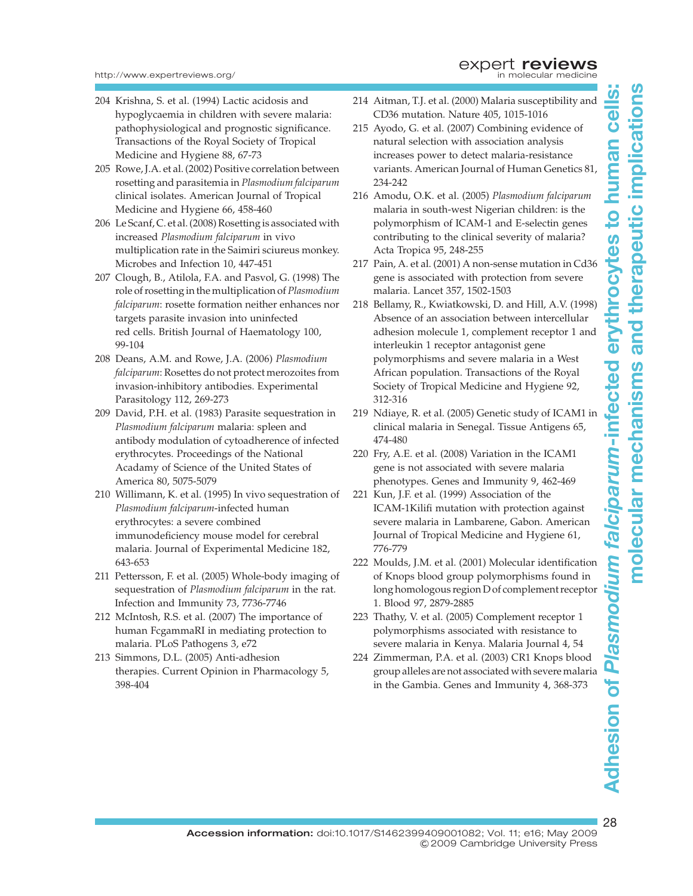- 204 Krishna, S. et al. (1994) Lactic acidosis and hypoglycaemia in children with severe malaria: pathophysiological and prognostic significance. Transactions of the Royal Society of Tropical Medicine and Hygiene 88, 67-73
- 205 Rowe, J.A. et al. (2002) Positive correlation between rosetting and parasitemia in Plasmodium falciparum clinical isolates. American Journal of Tropical Medicine and Hygiene 66, 458-460
- 206 Le Scanf, C. et al. (2008) Rosetting is associated with increased Plasmodium falciparum in vivo multiplication rate in the Saimiri sciureus monkey. Microbes and Infection 10, 447-451
- 207 Clough, B., Atilola, F.A. and Pasvol, G. (1998) The role of rosetting in the multiplication of Plasmodium falciparum: rosette formation neither enhances nor targets parasite invasion into uninfected red cells. British Journal of Haematology 100, 99-104
- 208 Deans, A.M. and Rowe, J.A. (2006) Plasmodium falciparum: Rosettes do not protect merozoites from invasion-inhibitory antibodies. Experimental Parasitology 112, 269-273
- 209 David, P.H. et al. (1983) Parasite sequestration in Plasmodium falciparum malaria: spleen and antibody modulation of cytoadherence of infected erythrocytes. Proceedings of the National Acadamy of Science of the United States of America 80, 5075-5079
- 210 Willimann, K. et al. (1995) In vivo sequestration of Plasmodium falciparum-infected human erythrocytes: a severe combined immunodeficiency mouse model for cerebral malaria. Journal of Experimental Medicine 182, 643-653
- 211 Pettersson, F. et al. (2005) Whole-body imaging of sequestration of Plasmodium falciparum in the rat. Infection and Immunity 73, 7736-7746
- 212 McIntosh, R.S. et al. (2007) The importance of human FcgammaRI in mediating protection to malaria. PLoS Pathogens 3, e72
- 213 Simmons, D.L. (2005) Anti-adhesion therapies. Current Opinion in Pharmacology 5, 398-404
- 214 Aitman, T.J. et al. (2000) Malaria susceptibility and CD36 mutation. Nature 405, 1015-1016
- 215 Ayodo, G. et al. (2007) Combining evidence of natural selection with association analysis increases power to detect malaria-resistance variants. American Journal of Human Genetics 81, 234-242
- 216 Amodu, O.K. et al. (2005) Plasmodium falciparum malaria in south-west Nigerian children: is the polymorphism of ICAM-1 and E-selectin genes contributing to the clinical severity of malaria? Acta Tropica 95, 248-255
- 217 Pain, A. et al. (2001) A non-sense mutation in Cd36 gene is associated with protection from severe malaria. Lancet 357, 1502-1503
- 218 Bellamy, R., Kwiatkowski, D. and Hill, A.V. (1998) Absence of an association between intercellular adhesion molecule 1, complement receptor 1 and interleukin 1 receptor antagonist gene polymorphisms and severe malaria in a West African population. Transactions of the Royal Society of Tropical Medicine and Hygiene 92, 312-316
- 219 Ndiaye, R. et al. (2005) Genetic study of ICAM1 in clinical malaria in Senegal. Tissue Antigens 65, 474-480
- 220 Fry, A.E. et al. (2008) Variation in the ICAM1 gene is not associated with severe malaria phenotypes. Genes and Immunity 9, 462-469
- 221 Kun, J.F. et al. (1999) Association of the ICAM-1Kilifi mutation with protection against severe malaria in Lambarene, Gabon. American Journal of Tropical Medicine and Hygiene 61, 776-779
- 222 Moulds, J.M. et al. (2001) Molecular identification of Knops blood group polymorphisms found in long homologous region D of complement receptor 1. Blood 97, 2879-2885
- 223 Thathy, V. et al. (2005) Complement receptor 1 polymorphisms associated with resistance to severe malaria in Kenya. Malaria Journal 4, 54
- 224 Zimmerman, P.A. et al. (2003) CR1 Knops blood group alleles are not associated with severe malaria in the Gambia. Genes and Immunity 4, 368-373